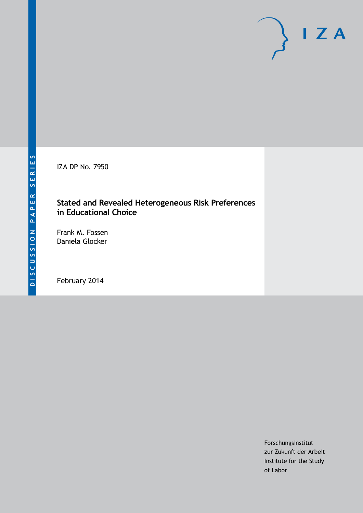IZA DP No. 7950

# **Stated and Revealed Heterogeneous Risk Preferences in Educational Choice**

Frank M. Fossen Daniela Glocker

February 2014

Forschungsinstitut zur Zukunft der Arbeit Institute for the Study of Labor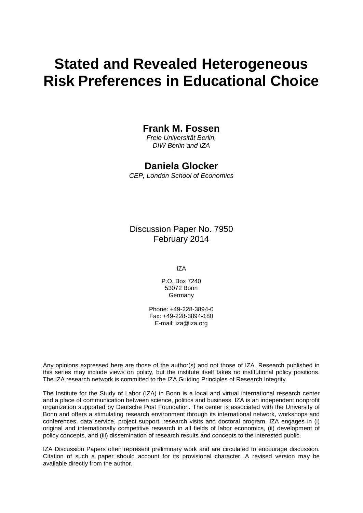# **Stated and Revealed Heterogeneous Risk Preferences in Educational Choice**

## **Frank M. Fossen**

*Freie Universität Berlin, DIW Berlin and IZA*

# **Daniela Glocker**

*CEP, London School of Economics*

Discussion Paper No. 7950 February 2014

IZA

P.O. Box 7240 53072 Bonn Germany

Phone: +49-228-3894-0 Fax: +49-228-3894-180 E-mail: [iza@iza.org](mailto:iza@iza.org)

Any opinions expressed here are those of the author(s) and not those of IZA. Research published in this series may include views on policy, but the institute itself takes no institutional policy positions. The IZA research network is committed to the IZA Guiding Principles of Research Integrity.

The Institute for the Study of Labor (IZA) in Bonn is a local and virtual international research center and a place of communication between science, politics and business. IZA is an independent nonprofit organization supported by Deutsche Post Foundation. The center is associated with the University of Bonn and offers a stimulating research environment through its international network, workshops and conferences, data service, project support, research visits and doctoral program. IZA engages in (i) original and internationally competitive research in all fields of labor economics, (ii) development of policy concepts, and (iii) dissemination of research results and concepts to the interested public.

<span id="page-1-0"></span>IZA Discussion Papers often represent preliminary work and are circulated to encourage discussion. Citation of such a paper should account for its provisional character. A revised version may be available directly from the author.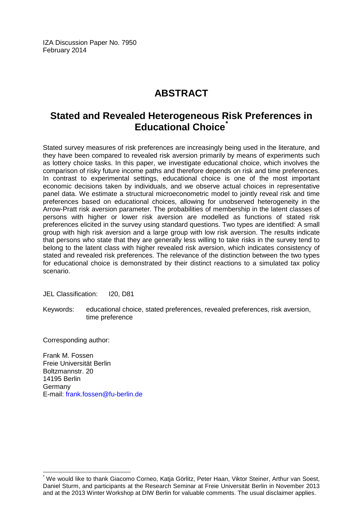IZA Discussion Paper No. 7950 February 2014

# **ABSTRACT**

# **Stated and Revealed Heterogeneous Risk Preferences in Educational Choice[\\*](#page-1-0)**

Stated survey measures of risk preferences are increasingly being used in the literature, and they have been compared to revealed risk aversion primarily by means of experiments such as lottery choice tasks. In this paper, we investigate educational choice, which involves the comparison of risky future income paths and therefore depends on risk and time preferences. In contrast to experimental settings, educational choice is one of the most important economic decisions taken by individuals, and we observe actual choices in representative panel data. We estimate a structural microeconometric model to jointly reveal risk and time preferences based on educational choices, allowing for unobserved heterogeneity in the Arrow-Pratt risk aversion parameter. The probabilities of membership in the latent classes of persons with higher or lower risk aversion are modelled as functions of stated risk preferences elicited in the survey using standard questions. Two types are identified: A small group with high risk aversion and a large group with low risk aversion. The results indicate that persons who state that they are generally less willing to take risks in the survey tend to belong to the latent class with higher revealed risk aversion, which indicates consistency of stated and revealed risk preferences. The relevance of the distinction between the two types for educational choice is demonstrated by their distinct reactions to a simulated tax policy scenario.

JEL Classification: I20, D81

Keywords: educational choice, stated preferences, revealed preferences, risk aversion, time preference

Corresponding author:

Frank M. Fossen Freie Universität Berlin Boltzmannstr. 20 14195 Berlin Germany E-mail: [frank.fossen@fu-berlin.de](mailto:frank.fossen@fu-berlin.de)

\* We would like to thank Giacomo Corneo, Katja Görlitz, Peter Haan, Viktor Steiner, Arthur van Soest, Daniel Sturm, and participants at the Research Seminar at Freie Universität Berlin in November 2013 and at the 2013 Winter Workshop at DIW Berlin for valuable comments. The usual disclaimer applies.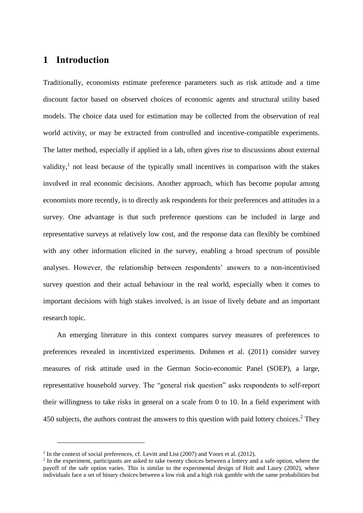# **1 Introduction**

Traditionally, economists estimate preference parameters such as risk attitude and a time discount factor based on observed choices of economic agents and structural utility based models. The choice data used for estimation may be collected from the observation of real world activity, or may be extracted from controlled and incentive-compatible experiments. The latter method, especially if applied in a lab, often gives rise to discussions about external validity,<sup>1</sup> not least because of the typically small incentives in comparison with the stakes involved in real economic decisions. Another approach, which has become popular among economists more recently, is to directly ask respondents for their preferences and attitudes in a survey. One advantage is that such preference questions can be included in large and representative surveys at relatively low cost, and the response data can flexibly be combined with any other information elicited in the survey, enabling a broad spectrum of possible analyses. However, the relationship between respondents' answers to a non-incentivised survey question and their actual behaviour in the real world, especially when it comes to important decisions with high stakes involved, is an issue of lively debate and an important research topic.

An emerging literature in this context compares survey measures of preferences to preferences revealed in incentivized experiments. Dohmen et al. (2011) consider survey measures of risk attitude used in the German Socio-economic Panel (SOEP), a large, representative household survey. The "general risk question" asks respondents to self-report their willingness to take risks in general on a scale from 0 to 10. In a field experiment with 450 subjects, the authors contrast the answers to this question with paid lottery choices.<sup>2</sup> They

<sup>&</sup>lt;sup>1</sup> In the context of social preferences, cf. Levitt and List (2007) and Voors et al. (2012).

 $2$  In the experiment, participants are asked to take twenty choices between a lottery and a safe option, where the payoff of the safe option varies. This is similar to the experimental design of Holt and Laury (2002), where individuals face a set of binary choices between a low risk and a high risk gamble with the same probabilities but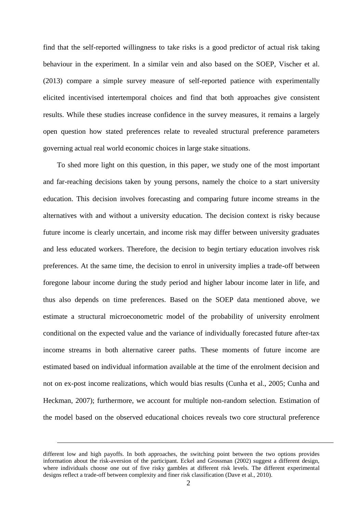find that the self-reported willingness to take risks is a good predictor of actual risk taking behaviour in the experiment. In a similar vein and also based on the SOEP, Vischer et al. (2013) compare a simple survey measure of self-reported patience with experimentally elicited incentivised intertemporal choices and find that both approaches give consistent results. While these studies increase confidence in the survey measures, it remains a largely open question how stated preferences relate to revealed structural preference parameters governing actual real world economic choices in large stake situations.

To shed more light on this question, in this paper, we study one of the most important and far-reaching decisions taken by young persons, namely the choice to a start university education. This decision involves forecasting and comparing future income streams in the alternatives with and without a university education. The decision context is risky because future income is clearly uncertain, and income risk may differ between university graduates and less educated workers. Therefore, the decision to begin tertiary education involves risk preferences. At the same time, the decision to enrol in university implies a trade-off between foregone labour income during the study period and higher labour income later in life, and thus also depends on time preferences. Based on the SOEP data mentioned above, we estimate a structural microeconometric model of the probability of university enrolment conditional on the expected value and the variance of individually forecasted future after-tax income streams in both alternative career paths. These moments of future income are estimated based on individual information available at the time of the enrolment decision and not on ex-post income realizations, which would bias results (Cunha et al., 2005; Cunha and Heckman, 2007); furthermore, we account for multiple non-random selection. Estimation of the model based on the observed educational choices reveals two core structural preference

different low and high payoffs. In both approaches, the switching point between the two options provides information about the risk-aversion of the participant. Eckel and Grossman (2002) suggest a different design, where individuals choose one out of five risky gambles at different risk levels. The different experimental designs reflect a trade-off between complexity and finer risk classification (Dave et al., 2010).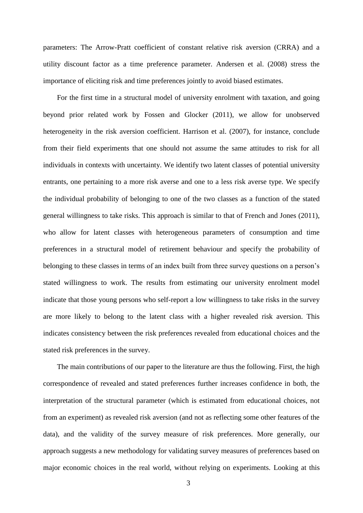parameters: The Arrow-Pratt coefficient of constant relative risk aversion (CRRA) and a utility discount factor as a time preference parameter. Andersen et al. (2008) stress the importance of eliciting risk and time preferences jointly to avoid biased estimates.

For the first time in a structural model of university enrolment with taxation, and going beyond prior related work by Fossen and Glocker (2011), we allow for unobserved heterogeneity in the risk aversion coefficient. Harrison et al. (2007), for instance, conclude from their field experiments that one should not assume the same attitudes to risk for all individuals in contexts with uncertainty. We identify two latent classes of potential university entrants, one pertaining to a more risk averse and one to a less risk averse type. We specify the individual probability of belonging to one of the two classes as a function of the stated general willingness to take risks. This approach is similar to that of French and Jones (2011), who allow for latent classes with heterogeneous parameters of consumption and time preferences in a structural model of retirement behaviour and specify the probability of belonging to these classes in terms of an index built from three survey questions on a person's stated willingness to work. The results from estimating our university enrolment model indicate that those young persons who self-report a low willingness to take risks in the survey are more likely to belong to the latent class with a higher revealed risk aversion. This indicates consistency between the risk preferences revealed from educational choices and the stated risk preferences in the survey.

The main contributions of our paper to the literature are thus the following. First, the high correspondence of revealed and stated preferences further increases confidence in both, the interpretation of the structural parameter (which is estimated from educational choices, not from an experiment) as revealed risk aversion (and not as reflecting some other features of the data), and the validity of the survey measure of risk preferences. More generally, our approach suggests a new methodology for validating survey measures of preferences based on major economic choices in the real world, without relying on experiments. Looking at this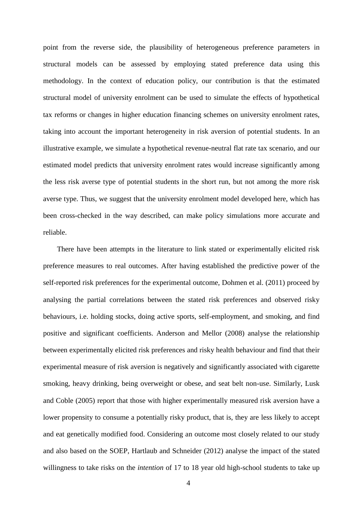point from the reverse side, the plausibility of heterogeneous preference parameters in structural models can be assessed by employing stated preference data using this methodology. In the context of education policy, our contribution is that the estimated structural model of university enrolment can be used to simulate the effects of hypothetical tax reforms or changes in higher education financing schemes on university enrolment rates, taking into account the important heterogeneity in risk aversion of potential students. In an illustrative example, we simulate a hypothetical revenue-neutral flat rate tax scenario, and our estimated model predicts that university enrolment rates would increase significantly among the less risk averse type of potential students in the short run, but not among the more risk averse type. Thus, we suggest that the university enrolment model developed here, which has been cross-checked in the way described, can make policy simulations more accurate and reliable.

There have been attempts in the literature to link stated or experimentally elicited risk preference measures to real outcomes. After having established the predictive power of the self-reported risk preferences for the experimental outcome, Dohmen et al. (2011) proceed by analysing the partial correlations between the stated risk preferences and observed risky behaviours, i.e. holding stocks, doing active sports, self-employment, and smoking, and find positive and significant coefficients. Anderson and Mellor (2008) analyse the relationship between experimentally elicited risk preferences and risky health behaviour and find that their experimental measure of risk aversion is negatively and significantly associated with cigarette smoking, heavy drinking, being overweight or obese, and seat belt non-use. Similarly, Lusk and Coble (2005) report that those with higher experimentally measured risk aversion have a lower propensity to consume a potentially risky product, that is, they are less likely to accept and eat genetically modified food. Considering an outcome most closely related to our study and also based on the SOEP, Hartlaub and Schneider (2012) analyse the impact of the stated willingness to take risks on the *intention* of 17 to 18 year old high-school students to take up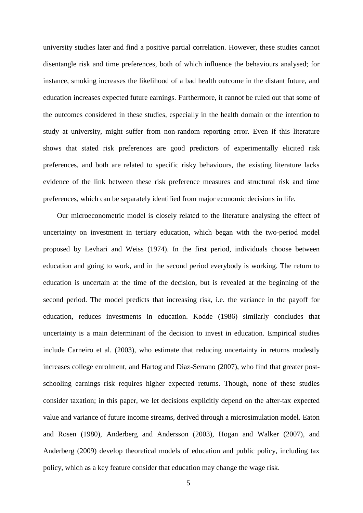university studies later and find a positive partial correlation. However, these studies cannot disentangle risk and time preferences, both of which influence the behaviours analysed; for instance, smoking increases the likelihood of a bad health outcome in the distant future, and education increases expected future earnings. Furthermore, it cannot be ruled out that some of the outcomes considered in these studies, especially in the health domain or the intention to study at university, might suffer from non-random reporting error. Even if this literature shows that stated risk preferences are good predictors of experimentally elicited risk preferences, and both are related to specific risky behaviours, the existing literature lacks evidence of the link between these risk preference measures and structural risk and time preferences, which can be separately identified from major economic decisions in life.

Our microeconometric model is closely related to the literature analysing the effect of uncertainty on investment in tertiary education, which began with the two-period model proposed by Levhari and Weiss (1974). In the first period, individuals choose between education and going to work, and in the second period everybody is working. The return to education is uncertain at the time of the decision, but is revealed at the beginning of the second period. The model predicts that increasing risk, i.e. the variance in the payoff for education, reduces investments in education. Kodde (1986) similarly concludes that uncertainty is a main determinant of the decision to invest in education. Empirical studies include Carneiro et al. (2003), who estimate that reducing uncertainty in returns modestly increases college enrolment, and Hartog and Diaz-Serrano (2007), who find that greater postschooling earnings risk requires higher expected returns. Though, none of these studies consider taxation; in this paper, we let decisions explicitly depend on the after-tax expected value and variance of future income streams, derived through a microsimulation model. Eaton and Rosen (1980), Anderberg and Andersson (2003), Hogan and Walker (2007), and Anderberg (2009) develop theoretical models of education and public policy, including tax policy, which as a key feature consider that education may change the wage risk.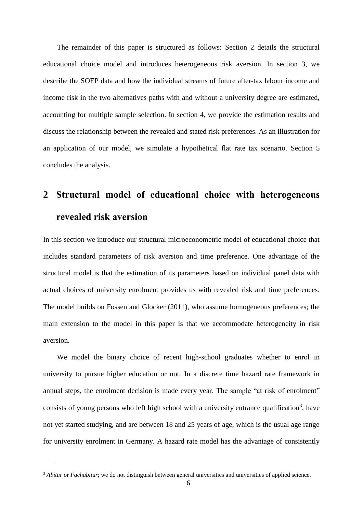The remainder of this paper is structured as follows: Section 2 details the structural educational choice model and introduces heterogeneous risk aversion. In section 3, we describe the SOEP data and how the individual streams of future after-tax labour income and income risk in the two alternatives paths with and without a university degree are estimated, accounting for multiple sample selection. In section 4, we provide the estimation results and discuss the relationship between the revealed and stated risk preferences. As an illustration for an application of our model, we simulate a hypothetical flat rate tax scenario. Section 5 concludes the analysis.

# **2 Structural model of educational choice with heterogeneous revealed risk aversion**

In this section we introduce our structural microeconometric model of educational choice that includes standard parameters of risk aversion and time preference. One advantage of the structural model is that the estimation of its parameters based on individual panel data with actual choices of university enrolment provides us with revealed risk and time preferences. The model builds on Fossen and Glocker (2011), who assume homogeneous preferences; the main extension to the model in this paper is that we accommodate heterogeneity in risk aversion.

We model the binary choice of recent high-school graduates whether to enrol in university to pursue higher education or not. In a discrete time hazard rate framework in annual steps, the enrolment decision is made every year. The sample "at risk of enrolment" consists of young persons who left high school with a university entrance qualification<sup>3</sup>, have not yet started studying, and are between 18 and 25 years of age, which is the usual age range for university enrolment in Germany. A hazard rate model has the advantage of consistently

<sup>3</sup> *Abitur* or *Fachabitur*; we do not distinguish between general universities and universities of applied science.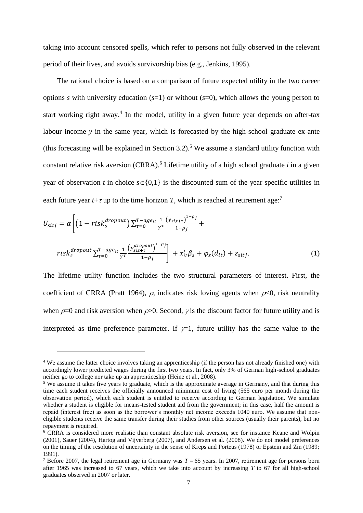taking into account censored spells, which refer to persons not fully observed in the relevant period of their lives, and avoids survivorship bias (e.g., Jenkins, 1995).

The rational choice is based on a comparison of future expected utility in the two career options *s* with university education (*s*=1) or without (*s*=0), which allows the young person to start working right away.<sup>4</sup> In the model, utility in a given future year depends on after-tax labour income *y* in the same year, which is forecasted by the high-school graduate ex-ante (this forecasting will be explained in Section 3.2).<sup>5</sup> We assume a standard utility function with constant relative risk aversion (CRRA).<sup>6</sup> Lifetime utility of a high school graduate *i* in a given year of observation *t* in choice  $s \in \{0,1\}$  is the discounted sum of the year specific utilities in each future year  $t+\tau$  up to the time horizon *T*, which is reached at retirement age:<sup>7</sup>

$$
U_{sitj} = \alpha \left[ \left( 1 - risk_s^{dropout} \right) \sum_{\tau=0}^{T - age_{it}} \frac{1}{\gamma^{\tau}} \frac{\left( y_{sit+\tau} \right)^{1-\rho_j}}{1-\rho_j} + \right]
$$
  

$$
risk_s^{dropout} \sum_{\tau=0}^{T - age_{it}} \frac{1}{\gamma^{\tau}} \frac{\left( y_{sit+\tau}^{dropout} \right)^{1-\rho_j}}{1-\rho_j} \right] + x_{it}'\beta_s + \varphi_s(d_{it}) + \varepsilon_{sitj}.
$$

$$
(1)
$$

The lifetime utility function includes the two structural parameters of interest. First, the coefficient of CRRA (Pratt 1964),  $\rho$ , indicates risk loving agents when  $\rho \lt 0$ , risk neutrality when  $\rho$ =0 and risk aversion when  $\rho$ >0. Second,  $\gamma$  is the discount factor for future utility and is interpreted as time preference parameter. If  $\not=1$ , future utility has the same value to the

<sup>4</sup> We assume the latter choice involves taking an apprenticeship (if the person has not already finished one) with accordingly lower predicted wages during the first two years. In fact, only 3% of German high-school graduates neither go to college nor take up an apprenticeship (Heine et al., 2008).

<sup>&</sup>lt;sup>5</sup> We assume it takes five years to graduate, which is the approximate average in Germany, and that during this time each student receives the officially announced minimum cost of living (565 euro per month during the observation period), which each student is entitled to receive according to German legislation. We simulate whether a student is eligible for means-tested student aid from the government; in this case, half the amount is repaid (interest free) as soon as the borrower's monthly net income exceeds 1040 euro. We assume that noneligible students receive the same transfer during their studies from other sources (usually their parents), but no repayment is required.

<sup>6</sup> CRRA is considered more realistic than constant absolute risk aversion, see for instance Keane and Wolpin (2001), Sauer (2004), Hartog and Vijverberg (2007), and Andersen et al. (2008). We do not model preferences on the timing of the resolution of uncertainty in the sense of Kreps and Porteus (1978) or Epstein and Zin (1989; 1991).

<sup>7</sup> Before 2007, the legal retirement age in Germany was *T* = 65 years. In 2007, retirement age for persons born after 1965 was increased to 67 years, which we take into account by increasing *T* to 67 for all high-school graduates observed in 2007 or later.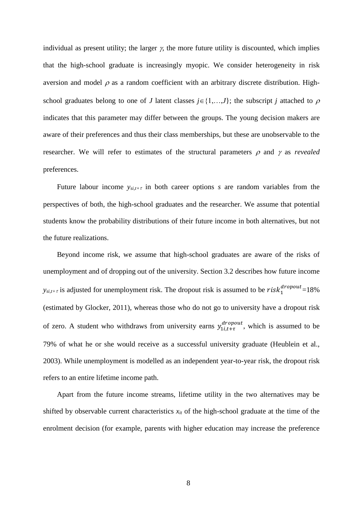individual as present utility; the larger  $\gamma$ , the more future utility is discounted, which implies that the high-school graduate is increasingly myopic. We consider heterogeneity in risk aversion and model  $\rho$  as a random coefficient with an arbitrary discrete distribution. Highschool graduates belong to one of *J* latent classes  $j \in \{1,...,J\}$ ; the subscript *j* attached to  $\rho$ indicates that this parameter may differ between the groups. The young decision makers are aware of their preferences and thus their class memberships, but these are unobservable to the researcher. We will refer to estimates of the structural parameters  $\rho$  and  $\gamma$  as *revealed* preferences.

Future labour income  $y_{si,t+\tau}$  in both career options *s* are random variables from the perspectives of both, the high-school graduates and the researcher. We assume that potential students know the probability distributions of their future income in both alternatives, but not the future realizations.

Beyond income risk, we assume that high-school graduates are aware of the risks of unemployment and of dropping out of the university. Section 3.2 describes how future income  $y_{si,t+\tau}$  is adjusted for unemployment risk. The dropout risk is assumed to be  $risk_1^{dropout}$ =18% (estimated by Glocker, 2011), whereas those who do not go to university have a dropout risk of zero. A student who withdraws from university earns  $y_{1i,t+\tau}^{dropout}$ , which is assumed to be 79% of what he or she would receive as a successful university graduate (Heublein et al., 2003). While unemployment is modelled as an independent year-to-year risk, the dropout risk refers to an entire lifetime income path.

Apart from the future income streams, lifetime utility in the two alternatives may be shifted by observable current characteristics  $x<sub>it</sub>$  of the high-school graduate at the time of the enrolment decision (for example, parents with higher education may increase the preference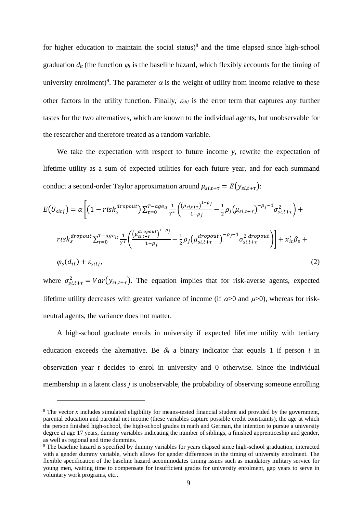for higher education to maintain the social status) $8$  and the time elapsed since high-school graduation  $d_{it}$  (the function  $\varphi_s$  is the baseline hazard, which flexibly accounts for the timing of university enrolment)<sup>9</sup>. The parameter  $\alpha$  is the weight of utility from income relative to these other factors in the utility function. Finally,  $\varepsilon_{siti}$  is the error term that captures any further tastes for the two alternatives, which are known to the individual agents, but unobservable for the researcher and therefore treated as a random variable.

We take the expectation with respect to future income *y*, rewrite the expectation of lifetime utility as a sum of expected utilities for each future year, and for each summand conduct a second-order Taylor approximation around  $\mu_{si,t+\tau} = E(y_{si,t+\tau})$ :

$$
E\left(U_{sitj}\right) = \alpha \left[ \left(1 - risk_{s}^{dropout}\right) \sum_{\tau=0}^{T - age_{it}} \frac{1}{\gamma^{\tau}} \left( \frac{\left(\mu_{s,i,t+\tau}\right)^{1-\rho_{j}}}{1-\rho_{j}} - \frac{1}{2} \rho_{j} \left(\mu_{s,i,t+\tau}\right)^{-\rho_{j}-1} \sigma_{s,i,t+\tau}^{2} \right) + \right.
$$
  

$$
risk_{s}^{dropout} \sum_{\tau=0}^{T - age_{it}} \frac{1}{\gamma^{\tau}} \left( \frac{\left(\mu_{s,i,t+\tau}^{dropout}\right)^{1-\rho_{j}}}{1-\rho_{j}} - \frac{1}{2} \rho_{j} \left(\mu_{s,i,t+\tau}^{dropout}\right)^{-\rho_{j}-1} \sigma_{s,i,t+\tau}^{2 \, dropout} \right) \right] + x_{it}'\beta_{s} + \varphi_{s}(d_{it}) + \varepsilon_{sitj}, \tag{2}
$$

where  $\sigma_{s,i,t+\tau}^2 = Var(y_{s,i,t+\tau})$ . The equation implies that for risk-averse agents, expected lifetime utility decreases with greater variance of income (if  $\alpha$  >0 and  $\mu$  >0), whereas for riskneutral agents, the variance does not matter.

A high-school graduate enrols in university if expected lifetime utility with tertiary education exceeds the alternative. Be  $\delta_t$  a binary indicator that equals 1 if person *i* in observation year *t* decides to enrol in university and 0 otherwise. Since the individual membership in a latent class *j* is unobservable, the probability of observing someone enrolling

 $8$  The vector *x* includes simulated eligibility for means-tested financial student aid provided by the government, parental education and parental net income (these variables capture possible credit constraints), the age at which the person finished high-school, the high-school grades in math and German, the intention to pursue a university degree at age 17 years, dummy variables indicating the number of siblings, a finished apprenticeship and gender, as well as regional and time dummies.

<sup>&</sup>lt;sup>9</sup> The baseline hazard is specified by dummy variables for years elapsed since high-school graduation, interacted with a gender dummy variable, which allows for gender differences in the timing of university enrolment. The flexible specification of the baseline hazard accommodates timing issues such as mandatory military service for young men, waiting time to compensate for insufficient grades for university enrolment, gap years to serve in voluntary work programs, etc..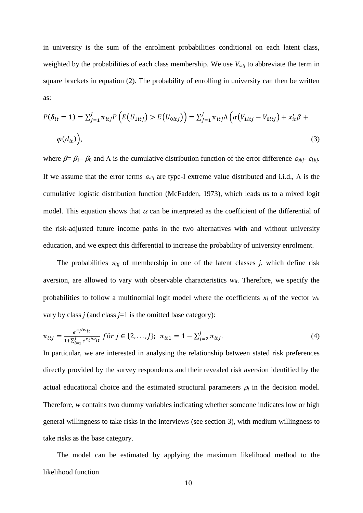in university is the sum of the enrolment probabilities conditional on each latent class, weighted by the probabilities of each class membership. We use *Vsitj* to abbreviate the term in square brackets in equation (2). The probability of enrolling in university can then be written as:

$$
P(\delta_{it} = 1) = \sum_{j=1}^{J} \pi_{itj} P\left(E\left(U_{1itj}\right) > E\left(U_{0itj}\right)\right) = \sum_{j=1}^{J} \pi_{itj} \Lambda\left(\alpha \left(V_{1itj} - V_{0itj}\right) + x_{it}' \beta + \varphi\left(d_{it}\right)\right),\tag{3}
$$

where  $\beta = \beta_1 - \beta_0$  and  $\Lambda$  is the cumulative distribution function of the error difference  $\varepsilon_{0itj}$ - $\varepsilon_{1itj}$ . If we assume that the error terms  $\varepsilon_{\text{stij}}$  are type-I extreme value distributed and i.i.d.,  $\Lambda$  is the cumulative logistic distribution function (McFadden, 1973), which leads us to a mixed logit model. This equation shows that  $\alpha$  can be interpreted as the coefficient of the differential of the risk-adjusted future income paths in the two alternatives with and without university education, and we expect this differential to increase the probability of university enrolment.

The probabilities  $\pi_{ij}$  of membership in one of the latent classes *j*, which define risk aversion, are allowed to vary with observable characteristics  $w_{it}$ . Therefore, we specify the probabilities to follow a multinomial logit model where the coefficients  $\kappa_i$  of the vector  $w_i$ vary by class  $j$  (and class  $j=1$  is the omitted base category):

$$
\pi_{itj} = \frac{e^{\kappa_j / w_{it}}}{1 + \sum_{l=2}^J e^{\kappa_l / w_{it}}} f \text{ür } j \in \{2, ..., J\}; \ \pi_{it1} = 1 - \sum_{j=2}^J \pi_{itj}.
$$
\n(4)

In particular, we are interested in analysing the relationship between stated risk preferences directly provided by the survey respondents and their revealed risk aversion identified by the actual educational choice and the estimated structural parameters  $\rho_i$  in the decision model. Therefore, *w* contains two dummy variables indicating whether someone indicates low or high general willingness to take risks in the interviews (see section 3), with medium willingness to take risks as the base category.

The model can be estimated by applying the maximum likelihood method to the likelihood function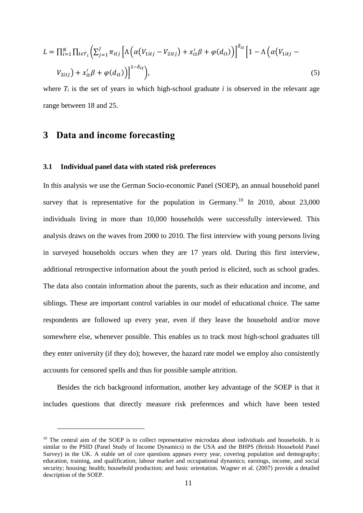$$
L = \prod_{i=1}^{N} \prod_{t \in T_i} \left( \sum_{j=1}^{J} \pi_{itj} \left[ \Lambda \left( \alpha \left( V_{1itj} - V_{2itj} \right) + x_{it}' \beta + \varphi(d_{it}) \right) \right]^{\delta_{it}} \left[ 1 - \Lambda \left( \alpha \left( V_{1itj} - V_{2itj} \right) + x_{it}' \beta + \varphi(d_{it}) \right) \right]^{-\delta_{it}} \right)
$$
\n
$$
(5)
$$

where  $T_i$  is the set of years in which high-school graduate *i* is observed in the relevant age range between 18 and 25.

## **3 Data and income forecasting**

 $\overline{a}$ 

#### **3.1 Individual panel data with stated risk preferences**

In this analysis we use the German Socio-economic Panel (SOEP), an annual household panel survey that is representative for the population in Germany.<sup>10</sup> In 2010, about 23,000 individuals living in more than 10,000 households were successfully interviewed. This analysis draws on the waves from 2000 to 2010. The first interview with young persons living in surveyed households occurs when they are 17 years old. During this first interview, additional retrospective information about the youth period is elicited, such as school grades. The data also contain information about the parents, such as their education and income, and siblings. These are important control variables in our model of educational choice. The same respondents are followed up every year, even if they leave the household and/or move somewhere else, whenever possible. This enables us to track most high-school graduates till they enter university (if they do); however, the hazard rate model we employ also consistently accounts for censored spells and thus for possible sample attrition.

Besides the rich background information, another key advantage of the SOEP is that it includes questions that directly measure risk preferences and which have been tested

<sup>&</sup>lt;sup>10</sup> The central aim of the SOEP is to collect representative microdata about individuals and households. It is similar to the PSID (Panel Study of Income Dynamics) in the USA and the BHPS (British Household Panel Survey) in the UK. A stable set of core questions appears every year, covering population and demography; education, training, and qualification; labour market and occupational dynamics; earnings, income, and social security; housing; health; household production; and basic orientation. Wagner et al. (2007) provide a detailed description of the SOEP.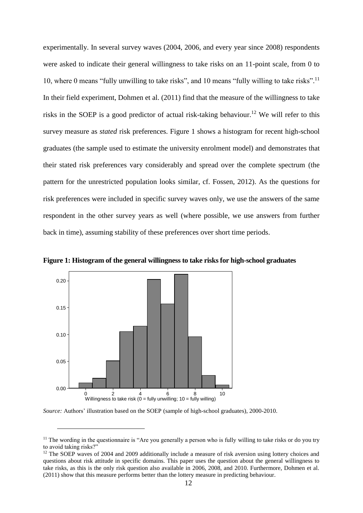experimentally. In several survey waves (2004, 2006, and every year since 2008) respondents were asked to indicate their general willingness to take risks on an 11-point scale, from 0 to 10, where 0 means "fully unwilling to take risks", and 10 means "fully willing to take risks".<sup>11</sup> In their field experiment, Dohmen et al. (2011) find that the measure of the willingness to take risks in the SOEP is a good predictor of actual risk-taking behaviour.<sup>12</sup> We will refer to this survey measure as *stated* risk preferences. Figure 1 shows a histogram for recent high-school graduates (the sample used to estimate the university enrolment model) and demonstrates that their stated risk preferences vary considerably and spread over the complete spectrum (the pattern for the unrestricted population looks similar, cf. Fossen, 2012). As the questions for risk preferences were included in specific survey waves only, we use the answers of the same respondent in the other survey years as well (where possible, we use answers from further back in time), assuming stability of these preferences over short time periods.



**Figure 1: Histogram of the general willingness to take risks for high-school graduates**

*Source:* Authors' illustration based on the SOEP (sample of high-school graduates), 2000-2010.

 $11$  The wording in the questionnaire is "Are you generally a person who is fully willing to take risks or do you try to avoid taking risks?"

<sup>&</sup>lt;sup>12</sup> The SOEP waves of 2004 and 2009 additionally include a measure of risk aversion using lottery choices and questions about risk attitude in specific domains. This paper uses the question about the general willingness to take risks, as this is the only risk question also available in 2006, 2008, and 2010. Furthermore, Dohmen et al. (2011) show that this measure performs better than the lottery measure in predicting behaviour.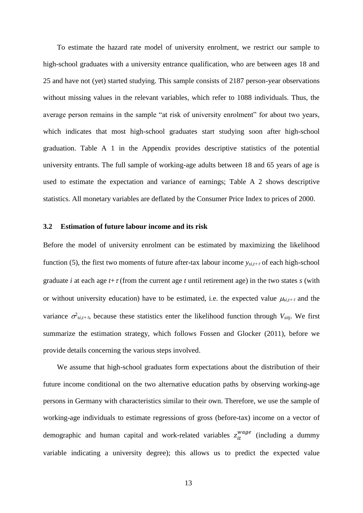To estimate the hazard rate model of university enrolment, we restrict our sample to high-school graduates with a university entrance qualification, who are between ages 18 and 25 and have not (yet) started studying. This sample consists of 2187 person-year observations without missing values in the relevant variables, which refer to 1088 individuals. Thus, the average person remains in the sample "at risk of university enrolment" for about two years, which indicates that most high-school graduates start studying soon after high-school graduation. Table A 1 in the Appendix provides descriptive statistics of the potential university entrants. The full sample of working-age adults between 18 and 65 years of age is used to estimate the expectation and variance of earnings; Table A 2 shows descriptive statistics. All monetary variables are deflated by the Consumer Price Index to prices of 2000.

#### **3.2 Estimation of future labour income and its risk**

Before the model of university enrolment can be estimated by maximizing the likelihood function (5), the first two moments of future after-tax labour income  $y_{si,t+\tau}$  of each high-school graduate *i* at each age  $t + \tau$  (from the current age *t* until retirement age) in the two states *s* (with or without university education) have to be estimated, i.e. the expected value  $\mu_{si,t+\tau}$  and the variance  $\sigma^2_{si,t+\tau}$ , because these statistics enter the likelihood function through  $V_{sitj}$ . We first summarize the estimation strategy, which follows Fossen and Glocker (2011), before we provide details concerning the various steps involved.

We assume that high-school graduates form expectations about the distribution of their future income conditional on the two alternative education paths by observing working-age persons in Germany with characteristics similar to their own. Therefore, we use the sample of working-age individuals to estimate regressions of gross (before-tax) income on a vector of demographic and human capital and work-related variables  $z_{it}^{wage}$  (including a dummy variable indicating a university degree); this allows us to predict the expected value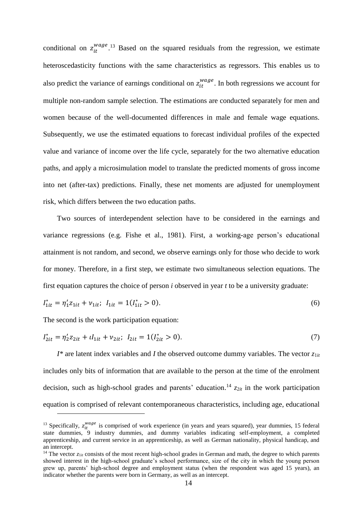conditional on  $z_{it}^{wage}$ <sup>13</sup> Based on the squared residuals from the regression, we estimate heteroscedasticity functions with the same characteristics as regressors. This enables us to also predict the variance of earnings conditional on  $z_{it}^{wage}$ . In both regressions we account for multiple non-random sample selection. The estimations are conducted separately for men and women because of the well-documented differences in male and female wage equations. Subsequently, we use the estimated equations to forecast individual profiles of the expected value and variance of income over the life cycle, separately for the two alternative education paths, and apply a microsimulation model to translate the predicted moments of gross income into net (after-tax) predictions. Finally, these net moments are adjusted for unemployment risk, which differs between the two education paths.

Two sources of interdependent selection have to be considered in the earnings and variance regressions (e.g. Fishe et al., 1981). First, a working-age person's educational attainment is not random, and second, we observe earnings only for those who decide to work for money. Therefore, in a first step, we estimate two simultaneous selection equations. The first equation captures the choice of person *i* observed in year *t* to be a university graduate:

$$
I_{1it}^* = \eta_1' z_{1it} + \nu_{1it}; \quad I_{1it} = 1(I_{1it}^* > 0). \tag{6}
$$

The second is the work participation equation:

 $\overline{a}$ 

$$
I_{2it}^* = \eta_2' z_{2it} + \iota I_{1it} + \nu_{2it}; \quad I_{2it} = 1(I_{2it}^* > 0). \tag{7}
$$

 $I^*$  are latent index variables and *I* the observed outcome dummy variables. The vector  $z_{1it}$ includes only bits of information that are available to the person at the time of the enrolment decision, such as high-school grades and parents' education.<sup>14</sup>  $z_{2it}$  in the work participation equation is comprised of relevant contemporaneous characteristics, including age, educational

<sup>&</sup>lt;sup>13</sup> Specifically,  $z_{it}^{wage}$  is comprised of work experience (in years and years squared), year dummies, 15 federal state dummies, 9 industry dummies, and dummy variables indicating self-employment, a completed apprenticeship, and current service in an apprenticeship, as well as German nationality, physical handicap, and an intercept.

<sup>&</sup>lt;sup>14</sup> The vector  $z_{1it}$  consists of the most recent high-school grades in German and math, the degree to which parents showed interest in the high-school graduate's school performance, size of the city in which the young person grew up, parents' high-school degree and employment status (when the respondent was aged 15 years), an indicator whether the parents were born in Germany, as well as an intercept.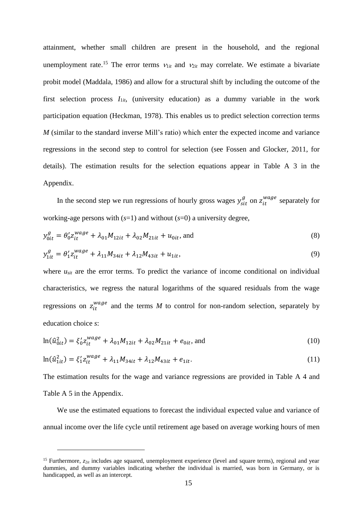attainment, whether small children are present in the household, and the regional unemployment rate.<sup>15</sup> The error terms  $v_{1it}$  and  $v_{2it}$  may correlate. We estimate a bivariate probit model (Maddala, 1986) and allow for a structural shift by including the outcome of the first selection process  $I_{1it}$ , (university education) as a dummy variable in the work participation equation (Heckman, 1978). This enables us to predict selection correction terms *M* (similar to the standard inverse Mill's ratio) which enter the expected income and variance regressions in the second step to control for selection (see Fossen and Glocker, 2011, for details). The estimation results for the selection equations appear in Table A 3 in the Appendix.

In the second step we run regressions of hourly gross wages  $y_{sit}^g$  on  $z_{it}^{wage}$  separately for working-age persons with  $(s=1)$  and without  $(s=0)$  a university degree,

$$
y_{0it}^g = \theta_0' z_{it}^{wage} + \lambda_{01} M_{12it} + \lambda_{02} M_{21it} + u_{0it}, \text{ and}
$$
 (8)

$$
y_{1it}^g = \theta_1' z_{it}^{wage} + \lambda_{11} M_{34it} + \lambda_{12} M_{43it} + u_{1it},
$$
\n(9)

where  $u_{\text{sit}}$  are the error terms. To predict the variance of income conditional on individual characteristics, we regress the natural logarithms of the squared residuals from the wage regressions on  $z_{it}^{wage}$  and the terms *M* to control for non-random selection, separately by education choice *s*:

$$
\ln(\hat{u}_{0it}^2) = \xi_0' z_{it}^{wage} + \lambda_{01} M_{12it} + \lambda_{02} M_{21it} + e_{0it}, \text{ and}
$$
 (10)

$$
\ln(\hat{u}_{1it}^2) = \xi_1' z_{it}^{wage} + \lambda_{11} M_{34it} + \lambda_{12} M_{43it} + e_{1it}.
$$
\n(11)

The estimation results for the wage and variance regressions are provided in Table A 4 and Table A 5 in the Appendix.

We use the estimated equations to forecast the individual expected value and variance of annual income over the life cycle until retirement age based on average working hours of men

<sup>&</sup>lt;sup>15</sup> Furthermore,  $z_{2it}$  includes age squared, unemployment experience (level and square terms), regional and year dummies, and dummy variables indicating whether the individual is married, was born in Germany, or is handicapped, as well as an intercept.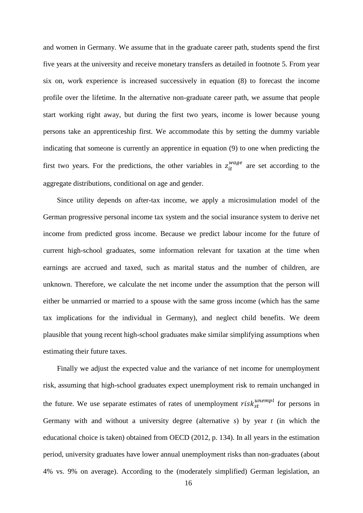and women in Germany. We assume that in the graduate career path, students spend the first five years at the university and receive monetary transfers as detailed in footnote 5. From year six on, work experience is increased successively in equation (8) to forecast the income profile over the lifetime. In the alternative non-graduate career path, we assume that people start working right away, but during the first two years, income is lower because young persons take an apprenticeship first. We accommodate this by setting the dummy variable indicating that someone is currently an apprentice in equation (9) to one when predicting the first two years. For the predictions, the other variables in  $z_{it}^{wage}$  are set according to the aggregate distributions, conditional on age and gender.

Since utility depends on after-tax income, we apply a microsimulation model of the German progressive personal income tax system and the social insurance system to derive net income from predicted gross income. Because we predict labour income for the future of current high-school graduates, some information relevant for taxation at the time when earnings are accrued and taxed, such as marital status and the number of children, are unknown. Therefore, we calculate the net income under the assumption that the person will either be unmarried or married to a spouse with the same gross income (which has the same tax implications for the individual in Germany), and neglect child benefits. We deem plausible that young recent high-school graduates make similar simplifying assumptions when estimating their future taxes.

Finally we adjust the expected value and the variance of net income for unemployment risk, assuming that high-school graduates expect unemployment risk to remain unchanged in the future. We use separate estimates of rates of unemployment  $risk_{st}^{unempl}$  for persons in Germany with and without a university degree (alternative *s*) by year *t* (in which the educational choice is taken) obtained from OECD (2012, p. 134). In all years in the estimation period, university graduates have lower annual unemployment risks than non-graduates (about 4% vs. 9% on average). According to the (moderately simplified) German legislation, an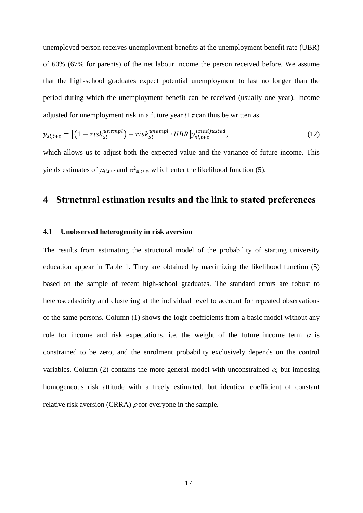unemployed person receives unemployment benefits at the unemployment benefit rate (UBR) of 60% (67% for parents) of the net labour income the person received before. We assume that the high-school graduates expect potential unemployment to last no longer than the period during which the unemployment benefit can be received (usually one year). Income adjusted for unemployment risk in a future year  $t+\tau$  can thus be written as

$$
y_{si,t+\tau} = \left[ \left( 1 - risk_{st}^{unempl} \right) + risk_{st}^{unempl} \cdot UBR \right] y_{si,t+\tau}^{unadjusted},\tag{12}
$$

which allows us to adjust both the expected value and the variance of future income. This yields estimates of  $\mu_{si,t+\tau}$  and  $\sigma_{si,t+\tau}^2$ , which enter the likelihood function (5).

## **4 Structural estimation results and the link to stated preferences**

#### **4.1 Unobserved heterogeneity in risk aversion**

The results from estimating the structural model of the probability of starting university education appear in Table 1. They are obtained by maximizing the likelihood function (5) based on the sample of recent high-school graduates. The standard errors are robust to heteroscedasticity and clustering at the individual level to account for repeated observations of the same persons. Column (1) shows the logit coefficients from a basic model without any role for income and risk expectations, i.e. the weight of the future income term  $\alpha$  is constrained to be zero, and the enrolment probability exclusively depends on the control variables. Column (2) contains the more general model with unconstrained  $\alpha$ , but imposing homogeneous risk attitude with a freely estimated, but identical coefficient of constant relative risk aversion (CRRA)  $\rho$  for everyone in the sample.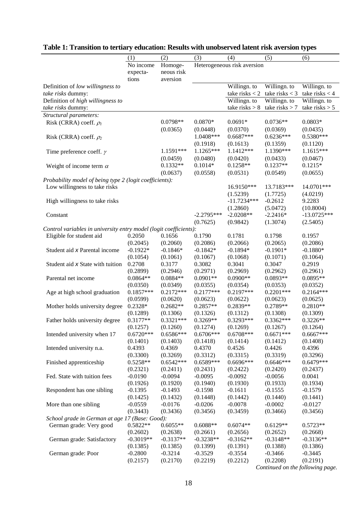|                                                                   | (1)               | (2)                   | (3)          | (4)                         | (5)              | (6)                        |
|-------------------------------------------------------------------|-------------------|-----------------------|--------------|-----------------------------|------------------|----------------------------|
|                                                                   | No income         |                       |              | Heterogeneous risk aversion |                  |                            |
|                                                                   |                   | Homoge-<br>neous risk |              |                             |                  |                            |
|                                                                   | expecta-<br>tions | aversion              |              |                             |                  |                            |
|                                                                   |                   |                       |              |                             |                  |                            |
| Definition of low willingness to                                  |                   |                       |              | Willingn. to                | Willingn. to     | Willingn. to               |
| take risks dummy:                                                 |                   |                       |              | take risks $<$ 2            | take risks $<$ 3 | take risks $<$ 4           |
| Definition of high willingness to                                 |                   |                       |              | Willingn. to                | Willingn. to     | Willingn. to               |
| take risks dummy:                                                 |                   |                       |              | take risks $> 8$            | take risks $> 7$ | take risks $> 5$           |
| Structural parameters:                                            |                   |                       |              |                             |                  |                            |
| Risk (CRRA) coeff. $\rho_l$                                       |                   | $0.0798**$            | $0.0870*$    | $0.0691*$                   | $0.0736**$       | $0.0803*$                  |
|                                                                   |                   | (0.0365)              | (0.0448)     | (0.0370)                    | (0.0369)         | (0.0435)                   |
| Risk (CRRA) coeff. $\rho_2$                                       |                   |                       | 1.0408***    | $0.6687***$                 | $0.6236***$      | 0.5380***                  |
|                                                                   |                   |                       | (0.1918)     | (0.1613)                    | (0.1359)         | (0.1120)                   |
| Time preference coeff. $\gamma$                                   |                   | 1.1591***             | $1.1265***$  | 1.1412***                   | 1.1390***        | 1.1615***                  |
|                                                                   |                   | (0.0459)              | (0.0480)     | (0.0420)                    | (0.0433)         | (0.0467)                   |
| Weight of income term $\alpha$                                    |                   | $0.1332**$            | $0.1014*$    | $0.1258**$                  | $0.1237**$       | $0.1215*$                  |
|                                                                   |                   | (0.0637)              | (0.0558)     | (0.0531)                    | (0.0549)         | (0.0655)                   |
| Probability model of being type 2 (logit coefficients):           |                   |                       |              |                             |                  |                            |
| Low willingness to take risks                                     |                   |                       |              | 16.9150***                  | 13.7183***       | 14.0701***                 |
|                                                                   |                   |                       |              | (1.5239)                    | (1.7725)         | (4.0219)                   |
| High willingness to take risks                                    |                   |                       |              | $-11.7234***$               | $-0.2612$        | 9.2283                     |
|                                                                   |                   |                       |              |                             |                  |                            |
|                                                                   |                   |                       |              | (1.2860)                    | (5.0472)         | (10.8004)<br>$-13.0725***$ |
| Constant                                                          |                   |                       | $-2.2795***$ | $-2.0208**$                 | $-2.2416*$       |                            |
|                                                                   |                   |                       | (0.7625)     | (0.9842)                    | (1.3074)         | (2.5405)                   |
| Control variables in university entry model (logit coefficients): |                   |                       |              |                             |                  |                            |
| Eligible for student aid                                          | 0.2050            | 0.1656                | 0.1790       | 0.1781                      | 0.1798           | 0.1957                     |
|                                                                   | (0.2045)          | (0.2060)              | (0.2086)     | (0.2066)                    | (0.2065)         | (0.2086)                   |
| Student aid x Parental income                                     | $-0.1922*$        | $-0.1846*$            | $-0.1842*$   | $-0.1894*$                  | $-0.1901*$       | $-0.1880*$                 |
|                                                                   | (0.1054)          | (0.1061)              | (0.1067)     | (0.1068)                    | (0.1071)         | (0.1064)                   |
| Student aid x State with tuition                                  | 0.2708            | 0.3177                | 0.3082       | 0.3041                      | 0.3047           | 0.2919                     |
|                                                                   | (0.2899)          | (0.2946)              | (0.2971)     | (0.2969)                    | (0.2962)         | (0.2961)                   |
| Parental net income                                               | $0.0864**$        | $0.0884**$            | $0.0901**$   | $0.0900**$                  | $0.0893**$       | $0.0895**$                 |
|                                                                   | (0.0350)          | (0.0349)              | (0.0355)     | (0.0354)                    | (0.0353)         | (0.0352)                   |
| Age at high school graduation                                     | $0.1857***$       | $0.2172***$           | $0.2177***$  | 0.2197***                   | $0.2201***$      | $0.2164***$                |
|                                                                   | (0.0599)          | (0.0620)              | (0.0623)     | (0.0622)                    | (0.0623)         | (0.0625)                   |
| Mother holds university degree                                    | $0.2328*$         | $0.2682**$            | $0.2857**$   | $0.2839**$                  | $0.2789**$       | $0.2810**$                 |
|                                                                   | (0.1289)          | (0.1306)              | (0.1326)     | (0.1312)                    | (0.1308)         | (0.1309)                   |
| Father holds university degree                                    | $0.3177**$        | $0.3321***$           | $0.3269**$   | 0.3293***                   | $0.3362***$      | $0.3226**$                 |
|                                                                   | (0.1257)          | (0.1260)              | (0.1274)     | (0.1269)                    | (0.1267)         | (0.1264)                   |
| Intended university when 17                                       | $0.6720***$       | 0.6586***             | $0.6706***$  | $0.6708***$                 | $0.6671***$      | $0.6667***$                |
|                                                                   | (0.1401)          | (0.1403)              | (0.1418)     | (0.1414)                    | (0.1412)         | (0.1408)                   |
| Intended university n.a.                                          | 0.4393            | 0.4369                | 0.4370       | 0.4526                      | 0.4426           | 0.4396                     |
|                                                                   | (0.3300)          | (0.3269)              | (0.3312)     | (0.3315)                    | (0.3319)         | (0.3296)                   |
| Finished apprenticeship                                           | $0.5258**$        | $0.6542***$           | $0.6589***$  | $0.6696***$                 | $0.6646***$      | $0.6479***$                |
|                                                                   | (0.2321)          | (0.2411)              | (0.2431)     | (0.2422)                    | (0.2420)         | (0.2437)                   |
| Fed. State with tuition fees                                      | $-0.0190$         | $-0.0094$             | $-0.0095$    | $-0.0092$                   | $-0.0056$        | 0.0041                     |
|                                                                   | (0.1926)          | (0.1920)              | (0.1940)     | (0.1930)                    | (0.1933)         | (0.1934)                   |
| Respondent has one sibling                                        | $-0.1395$         | $-0.1493$             | $-0.1598$    | $-0.1611$                   | $-0.1555$        | $-0.1579$                  |
|                                                                   |                   | (0.1432)              | (0.1448)     | (0.1442)                    | (0.1440)         |                            |
|                                                                   | (0.1425)          |                       | $-0.0206$    |                             |                  | (0.1441)                   |
| More than one sibling                                             | $-0.0559$         | $-0.0176$             |              | $-0.0078$                   | $-0.0002$        | $-0.0127$                  |
|                                                                   | (0.3443)          | (0.3436)              | (0.3456)     | (0.3459)                    | (0.3466)         | (0.3456)                   |
| School grade in German at age 17 (Base: Good):                    |                   |                       |              |                             |                  |                            |
| German grade: Very good                                           | $0.5822**$        | $0.6055**$            | $0.6088**$   | $0.6074**$                  | $0.6129**$       | $0.5723**$                 |
|                                                                   | (0.2602)          | (0.2638)              | (0.2661)     | (0.2656)                    | (0.2652)         | (0.2668)                   |
| German grade: Satisfactory                                        | $-0.3019**$       | $-0.3137**$           | $-0.3238**$  | $-0.3162**$                 | $-0.3148**$      | $-0.3136**$                |
|                                                                   | (0.1385)          | (0.1385)              | (0.1399)     | (0.1391)                    | (0.1388)         | (0.1386)                   |
| German grade: Poor                                                | $-0.2800$         | $-0.3214$             | $-0.3529$    | $-0.3554$                   | $-0.3466$        | $-0.3445$                  |
|                                                                   | (0.2157)          | (0.2170)              | (0.2219)     | (0.2212)                    | (0.2208)         | (0.2191)                   |

# **Table 1: Transition to tertiary education: Results with unobserved latent risk aversion types**

*Continued on the following page.*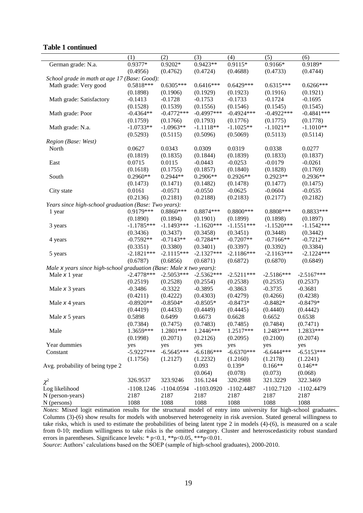#### **Table 1 continued**

|                                                                     | (1)          | (2)          | (3)          | (4)          | (5)          | (6)          |
|---------------------------------------------------------------------|--------------|--------------|--------------|--------------|--------------|--------------|
| German grade: N.a.                                                  | 0.9377*      | $0.9202*$    | $0.9423**$   | 0.9115*      | 0.9166*      | 0.9189*      |
|                                                                     | (0.4956)     | (0.4762)     | (0.4724)     | (0.4688)     | (0.4733)     | (0.4744)     |
| School grade in math at age 17 (Base: Good):                        |              |              |              |              |              |              |
| Math grade: Very good                                               | $0.5818***$  | $0.6305***$  | $0.6416***$  | $0.6429***$  | $0.6315***$  | $0.6266***$  |
|                                                                     | (0.1898)     | (0.1906)     | (0.1929)     | (0.1923)     | (0.1916)     | (0.1921)     |
| Math grade: Satisfactory                                            | $-0.1413$    | $-0.1728$    | $-0.1753$    | $-0.1733$    | $-0.1724$    | $-0.1695$    |
|                                                                     | (0.1528)     | (0.1539)     | (0.1556)     | (0.1546)     | (0.1545)     | (0.1545)     |
| Math grade: Poor                                                    | $-0.4364**$  | $-0.4772***$ | $-0.4997***$ | $-0.4924***$ | $-0.4922***$ | $-0.4841***$ |
|                                                                     | (0.1759)     | (0.1766)     | (0.1793)     | (0.1776)     | (0.1775)     | (0.1778)     |
| Math grade: N.a.                                                    | $-1.0733**$  | $-1.0963**$  | $-1.1118**$  | $-1.1025**$  | $-1.1021**$  | $-1.1010**$  |
|                                                                     | (0.5293)     | (0.5115)     | (0.5096)     | (0.5069)     | (0.5113)     | (0.5114)     |
| Region (Base: West)                                                 |              |              |              |              |              |              |
| North                                                               | 0.0627       | 0.0343       | 0.0309       | 0.0319       | 0.0338       | 0.0277       |
|                                                                     | (0.1819)     | (0.1835)     | (0.1844)     | (0.1839)     | (0.1833)     | (0.1837)     |
| East                                                                | 0.0715       | 0.0115       | $-0.0443$    | $-0.0253$    | $-0.0179$    | $-0.0261$    |
|                                                                     | (0.1618)     | (0.1755)     | (0.1857)     | (0.1840)     | (0.1828)     | (0.1769)     |
| South                                                               | $0.2960**$   | $0.2944**$   | $0.2906**$   | $0.2926**$   | $0.2923**$   | $0.2936**$   |
|                                                                     | (0.1473)     | (0.1471)     | (0.1482)     | (0.1478)     | (0.1477)     | (0.1475)     |
| City state                                                          | 0.0161       | $-0.0571$    | $-0.0550$    | $-0.0625$    | $-0.0604$    | $-0.0535$    |
|                                                                     | (0.2136)     | (0.2181)     | (0.2188)     | (0.2183)     | (0.2177)     | (0.2182)     |
| Years since high-school graduation (Base: Two years):               |              |              |              |              |              |              |
| 1 year                                                              | 0.9179***    | $0.8860***$  | 0.8874 ***   | $0.8800***$  | 0.8808 ***   | $0.8833***$  |
|                                                                     | (0.1890)     | (0.1894)     | (0.1901)     | (0.1899)     | (0.1898)     | (0.1897)     |
| 3 years                                                             | $-1.1785***$ | $-1.1493***$ | $-1.1620***$ | $-1.1551***$ | $-1.1520***$ | $-1.1542***$ |
|                                                                     | (0.3436)     | (0.3437)     | (0.3458)     | (0.3451)     | (0.3448)     | (0.3442)     |
| 4 years                                                             | $-0.7592**$  | $-0.7143**$  | $-0.7284**$  | $-0.7207**$  | $-0.7166**$  | $-0.7212**$  |
|                                                                     | (0.3351)     | (0.3380)     | (0.3401)     | (0.3397)     | (0.3392)     | (0.3384)     |
| 5 years                                                             | $-2.1821***$ | $-2.1115***$ | $-2.1327***$ | $-2.1186***$ | $-2.1163***$ | $-2.1224***$ |
|                                                                     | (0.6787)     | (0.6856)     | (0.6871)     | (0.6872)     | (0.6870)     | (0.6849)     |
| Male x years since high-school graduation (Base: Male x two years): |              |              |              |              |              |              |
| Male x 1 year                                                       | $-2.4778***$ | $-2.5053***$ | $-2.5362***$ | $-2.5211***$ | $-2.5186***$ | $-2.5167***$ |
|                                                                     | (0.2519)     | (0.2528)     | (0.2554)     | (0.2538)     | (0.2535)     | (0.2537)     |
| Male $x$ 3 years                                                    | $-0.3486$    | $-0.3322$    | $-0.3895$    | $-0.3863$    | $-0.3735$    | $-0.3681$    |
|                                                                     | (0.4211)     | (0.4222)     | (0.4303)     | (0.4279)     | (0.4266)     | (0.4238)     |
| Male x 4 years                                                      | $-0.8920**$  | $-0.8504*$   | $-0.8505*$   | $-0.8473*$   | $-0.8482*$   | $-0.8479*$   |
|                                                                     | (0.4419)     | (0.4433)     | (0.4449)     | (0.4445)     | (0.4440)     | (0.4442)     |
| Male $x 5$ years                                                    | 0.5898       | 0.6499       | 0.6673       | 0.6628       | 0.6652       | 0.6538       |
|                                                                     | (0.7384)     | (0.7475)     | (0.7483)     | (0.7485)     | (0.7484)     | (0.7471)     |
| Male                                                                | 1.3659***    | 1.2801***    | 1.2446***    | 1.2517***    | 1.2483***    | 1.2833***    |
|                                                                     | (0.1998)     | (0.2071)     | (0.2126)     | (0.2095)     | (0.2100)     | (0.2074)     |
| Year dummies                                                        | yes          | yes          | yes          | yes          | yes          | yes          |
| Constant                                                            | $-5.9227***$ | $-6.5645***$ | $-6.6186***$ | $-6.6370***$ | $-6.6444***$ | $-6.5153***$ |
|                                                                     | (1.1756)     | (1.2127)     | (1.2232)     | (1.2160)     | (1.2178)     | (1.2241)     |
| Avg. probability of being type 2                                    |              |              | 0.093        | $0.139*$     | $0.166**$    | $0.146**$    |
|                                                                     |              |              | (0.064)      | (0.078)      | (0.073)      | (0.068)      |
| $\chi^2$                                                            | 326.9537     | 323.9246     | 316.1244     | 320.2988     | 321.3229     | 322.3469     |
| Log likelihood                                                      | $-1108.1246$ | $-1104.0594$ | $-1103.0920$ | $-1102.4487$ | $-1102.7120$ | $-1102.4479$ |
| N (person-years)                                                    | 2187         | 2187         | 2187         | 2187         | 2187         | 2187         |
| N (persons)                                                         | 1088         | 1088         | 1088         | 1088         | 1088         | 1088         |

*Notes*: Mixed logit estimation results for the structural model of entry into university for high-school graduates. Columns (3)-(6) show results for models with unobserved heterogeneity in risk aversion. Stated general willingness to take risks, which is used to estimate the probabilities of being latent type 2 in models (4)-(6), is measured on a scale from 0-10; medium willingness to take risks is the omitted category. Cluster and heteroscedasticity robust standard errors in parentheses. Significance levels: \* p<0.1, \*\*p<0.05, \*\*\*p<0.01.

*Source*: Authors' calculations based on the SOEP (sample of high-school graduates), 2000-2010.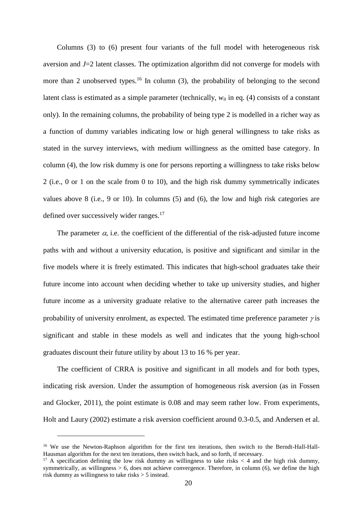Columns (3) to (6) present four variants of the full model with heterogeneous risk aversion and *J*=2 latent classes. The optimization algorithm did not converge for models with more than 2 unobserved types.<sup>16</sup> In column (3), the probability of belonging to the second latent class is estimated as a simple parameter (technically, *wit* in eq. (4) consists of a constant only). In the remaining columns, the probability of being type 2 is modelled in a richer way as a function of dummy variables indicating low or high general willingness to take risks as stated in the survey interviews, with medium willingness as the omitted base category. In column (4), the low risk dummy is one for persons reporting a willingness to take risks below 2 (i.e., 0 or 1 on the scale from 0 to 10), and the high risk dummy symmetrically indicates values above 8 (i.e., 9 or 10). In columns (5) and (6), the low and high risk categories are defined over successively wider ranges.<sup>17</sup>

The parameter  $\alpha$ , i.e. the coefficient of the differential of the risk-adjusted future income paths with and without a university education, is positive and significant and similar in the five models where it is freely estimated. This indicates that high-school graduates take their future income into account when deciding whether to take up university studies, and higher future income as a university graduate relative to the alternative career path increases the probability of university enrolment, as expected. The estimated time preference parameter  $\gamma$  is significant and stable in these models as well and indicates that the young high-school graduates discount their future utility by about 13 to 16 % per year.

The coefficient of CRRA is positive and significant in all models and for both types, indicating risk aversion. Under the assumption of homogeneous risk aversion (as in Fossen and Glocker, 2011), the point estimate is 0.08 and may seem rather low. From experiments, Holt and Laury (2002) estimate a risk aversion coefficient around 0.3-0.5, and Andersen et al.

<sup>&</sup>lt;sup>16</sup> We use the Newton-Raphson algorithm for the first ten iterations, then switch to the Berndt-Hall-Hall-Hausman algorithm for the next ten iterations, then switch back, and so forth, if necessary.

<sup>&</sup>lt;sup>17</sup> A specification defining the low risk dummy as willingness to take risks  $\lt$  4 and the high risk dummy, symmetrically, as willingness > 6, does not achieve convergence. Therefore, in column (6), we define the high risk dummy as willingness to take risks > 5 instead.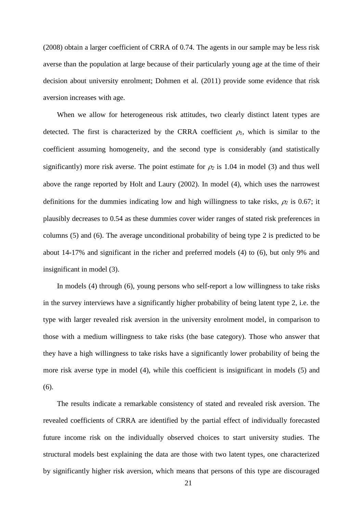(2008) obtain a larger coefficient of CRRA of 0.74. The agents in our sample may be less risk averse than the population at large because of their particularly young age at the time of their decision about university enrolment; Dohmen et al. (2011) provide some evidence that risk aversion increases with age.

When we allow for heterogeneous risk attitudes, two clearly distinct latent types are detected. The first is characterized by the CRRA coefficient  $\rho_l$ , which is similar to the coefficient assuming homogeneity, and the second type is considerably (and statistically significantly) more risk averse. The point estimate for  $\rho_2$  is 1.04 in model (3) and thus well above the range reported by Holt and Laury (2002). In model (4), which uses the narrowest definitions for the dummies indicating low and high willingness to take risks,  $\rho_2$  is 0.67; it plausibly decreases to 0.54 as these dummies cover wider ranges of stated risk preferences in columns (5) and (6). The average unconditional probability of being type 2 is predicted to be about 14-17% and significant in the richer and preferred models (4) to (6), but only 9% and insignificant in model (3).

In models (4) through (6), young persons who self-report a low willingness to take risks in the survey interviews have a significantly higher probability of being latent type 2, i.e. the type with larger revealed risk aversion in the university enrolment model, in comparison to those with a medium willingness to take risks (the base category). Those who answer that they have a high willingness to take risks have a significantly lower probability of being the more risk averse type in model (4), while this coefficient is insignificant in models (5) and (6).

The results indicate a remarkable consistency of stated and revealed risk aversion. The revealed coefficients of CRRA are identified by the partial effect of individually forecasted future income risk on the individually observed choices to start university studies. The structural models best explaining the data are those with two latent types, one characterized by significantly higher risk aversion, which means that persons of this type are discouraged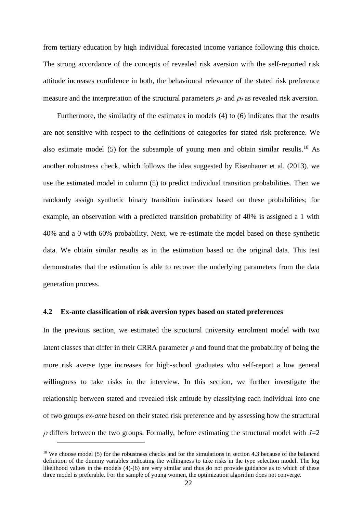from tertiary education by high individual forecasted income variance following this choice. The strong accordance of the concepts of revealed risk aversion with the self-reported risk attitude increases confidence in both, the behavioural relevance of the stated risk preference measure and the interpretation of the structural parameters  $\rho_1$  and  $\rho_2$  as revealed risk aversion.

Furthermore, the similarity of the estimates in models (4) to (6) indicates that the results are not sensitive with respect to the definitions of categories for stated risk preference. We also estimate model (5) for the subsample of young men and obtain similar results.<sup>18</sup> As another robustness check, which follows the idea suggested by Eisenhauer et al. (2013), we use the estimated model in column (5) to predict individual transition probabilities. Then we randomly assign synthetic binary transition indicators based on these probabilities; for example, an observation with a predicted transition probability of 40% is assigned a 1 with 40% and a 0 with 60% probability. Next, we re-estimate the model based on these synthetic data. We obtain similar results as in the estimation based on the original data. This test demonstrates that the estimation is able to recover the underlying parameters from the data generation process.

#### **4.2 Ex-ante classification of risk aversion types based on stated preferences**

In the previous section, we estimated the structural university enrolment model with two latent classes that differ in their CRRA parameter  $\rho$  and found that the probability of being the more risk averse type increases for high-school graduates who self-report a low general willingness to take risks in the interview. In this section, we further investigate the relationship between stated and revealed risk attitude by classifying each individual into one of two groups *ex-ante* based on their stated risk preference and by assessing how the structural  $\rho$  differs between the two groups. Formally, before estimating the structural model with  $J=2$ 

<sup>&</sup>lt;sup>18</sup> We choose model (5) for the robustness checks and for the simulations in section 4.3 because of the balanced definition of the dummy variables indicating the willingness to take risks in the type selection model. The log likelihood values in the models (4)-(6) are very similar and thus do not provide guidance as to which of these three model is preferable. For the sample of young women, the optimization algorithm does not converge.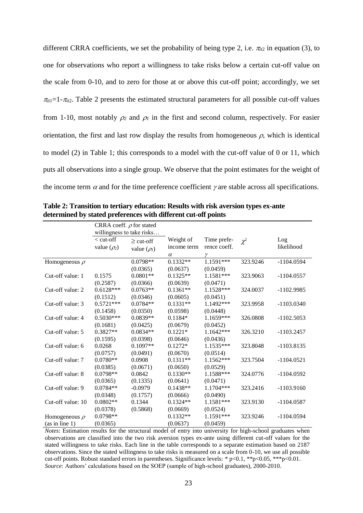different CRRA coefficients, we set the probability of being type 2, i.e.  $\pi_{it2}$  in equation (3), to one for observations who report a willingness to take risks below a certain cut-off value on the scale from 0-10, and to zero for those at or above this cut-off point; accordingly, we set  $\pi_{it} = 1 - \pi_{it2}$ . Table 2 presents the estimated structural parameters for all possible cut-off values from 1-10, most notably  $\rho_2$  and  $\rho_1$  in the first and second column, respectively. For easier orientation, the first and last row display the results from homogeneous  $\rho$ , which is identical to model (2) in Table 1; this corresponds to a model with the cut-off value of 0 or 11, which puts all observations into a single group. We observe that the point estimates for the weight of the income term  $\alpha$  and for the time preference coefficient  $\gamma$  are stable across all specifications.

|                    | CRRA coeff. $\rho$ for stated<br>willingness to take risks |                                    |                                      |                                  |          |                   |
|--------------------|------------------------------------------------------------|------------------------------------|--------------------------------------|----------------------------------|----------|-------------------|
|                    | $<$ cut-off<br>value $(\rho_2)$                            | $\geq$ cut-off<br>value $(\rho_l)$ | Weight of<br>income term<br>$\alpha$ | Time prefe-<br>rence coeff.<br>γ | $\chi^2$ | Log<br>likelihood |
| Homogeneous $\rho$ |                                                            | $0.0798**$                         | $0.1332**$                           | $1.1591***$                      | 323.9246 | $-1104.0594$      |
|                    |                                                            | (0.0365)                           | (0.0637)                             | (0.0459)                         |          |                   |
| Cut-off value: 1   | 0.1575                                                     | $0.0801**$                         | $0.1325**$                           | 1.1581***                        | 323.9063 | $-1104.0557$      |
|                    | (0.2587)                                                   | (0.0366)                           | (0.0639)                             | (0.0471)                         |          |                   |
| Cut-off value: 2   | $0.6128***$                                                | $0.0763**$                         | $0.1361**$                           | 1.1528***                        | 324.0037 | $-1102.9985$      |
|                    | (0.1512)                                                   | (0.0346)                           | (0.0605)                             | (0.0451)                         |          |                   |
| Cut-off value: 3   | $0.5721***$                                                | $0.0784**$                         | $0.1331**$                           | 1.1492***                        | 323.9958 | $-1103.0340$      |
|                    | (0.1458)                                                   | (0.0350)                           | (0.0598)                             | (0.0448)                         |          |                   |
| Cut-off value: 4   | $0.5030***$                                                | $0.0839**$                         | $0.1184*$                            | 1.1659***                        | 326.0808 | $-1102.5053$      |
|                    | (0.1681)                                                   | (0.0425)                           | (0.0679)                             | (0.0452)                         |          |                   |
| Cut-off value: 5   | $0.3827**$                                                 | $0.0834**$                         | $0.1221*$                            | $1.1642***$                      | 326.3210 | $-1103.2457$      |
|                    | (0.1595)                                                   | (0.0398)                           | (0.0646)                             | (0.0436)                         |          |                   |
| Cut-off value: 6   | 0.0268                                                     | $0.1097**$                         | $0.1272*$                            | 1.1535***                        | 323.8048 | $-1103.8135$      |
|                    | (0.0757)                                                   | (0.0491)                           | (0.0670)                             | (0.0514)                         |          |                   |
| Cut-off value: 7   | $0.0780**$                                                 | 0.0908                             | $0.1311**$                           | $1.1562***$                      | 323.7504 | $-1104.0521$      |
|                    | (0.0385)                                                   | (0.0671)                           | (0.0650)                             | (0.0529)                         |          |                   |
| Cut-off value: 8   | $0.0798**$                                                 | 0.0842                             | $0.1330**$                           | 1.1588***                        | 324.0776 | $-1104.0592$      |
|                    | (0.0365)                                                   | (0.1335)                           | (0.0641)                             | (0.0471)                         |          |                   |
| Cut-off value: 9   | $0.0784**$                                                 | $-0.0979$                          | $0.1438**$                           | $1.1704***$                      | 323.2416 | $-1103.9160$      |
|                    | (0.0348)                                                   | (0.1757)                           | (0.0666)                             | (0.0490)                         |          |                   |
| Cut-off value: 10  | $0.0802**$                                                 | 0.1344                             | $0.1324**$                           | 1.1581***                        | 323.9130 | $-1104.0587$      |
|                    | (0.0378)                                                   | (0.5868)                           | (0.0669)                             | (0.0524)                         |          |                   |
| Homogeneous $\rho$ | $0.0798**$                                                 |                                    | $0.1332**$                           | 1.1591***                        | 323.9246 | $-1104.0594$      |
| (as in line 1)     | (0.0365)                                                   |                                    | (0.0637)                             | (0.0459)                         |          |                   |

**Table 2: Transition to tertiary education: Results with risk aversion types ex-ante determined by stated preferences with different cut-off points**

*Notes*: Estimation results for the structural model of entry into university for high-school graduates when observations are classified into the two risk aversion types ex-ante using different cut-off values for the stated willingness to take risks. Each line in the table corresponds to a separate estimation based on 2187 observations. Since the stated willingness to take risks is measured on a scale from 0-10, we use all possible cut-off points. Robust standard errors in parentheses. Significance levels: \* p<0.1, \*\*p<0.05, \*\*\*p<0.01. *Source*: Authors' calculations based on the SOEP (sample of high-school graduates), 2000-2010.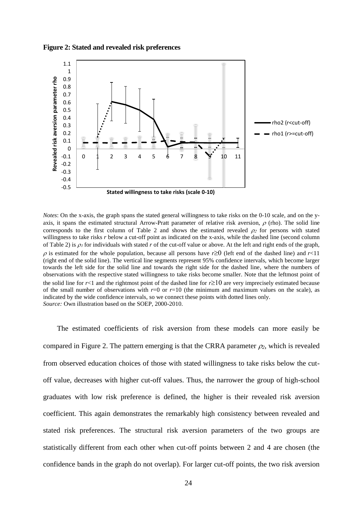**Figure 2: Stated and revealed risk preferences**



*Notes*: On the x-axis, the graph spans the stated general willingness to take risks on the 0-10 scale, and on the yaxis, it spans the estimated structural Arrow-Pratt parameter of relative risk aversion,  $\rho$  (rho). The solid line corresponds to the first column of Table 2 and shows the estimated revealed  $\rho_2$  for persons with stated willingness to take risks *r* below a cut-off point as indicated on the x-axis, while the dashed line (second column of Table 2) is  $\rho_i$  for individuals with stated r of the cut-off value or above. At the left and right ends of the graph,  $\rho$  is estimated for the whole population, because all persons have  $r \ge 0$  (left end of the dashed line) and  $r < 11$ (right end of the solid line). The vertical line segments represent 95% confidence intervals, which become larger towards the left side for the solid line and towards the right side for the dashed line, where the numbers of observations with the respective stated willingness to take risks become smaller. Note that the leftmost point of the solid line for  $r<1$  and the rightmost point of the dashed line for  $r \ge 10$  are very imprecisely estimated because of the small number of observations with  $r=0$  or  $r=10$  (the minimum and maximum values on the scale), as indicated by the wide confidence intervals, so we connect these points with dotted lines only. *Source:* Own illustration based on the SOEP, 2000-2010.

The estimated coefficients of risk aversion from these models can more easily be compared in Figure 2. The pattern emerging is that the CRRA parameter  $\rho_2$ , which is revealed from observed education choices of those with stated willingness to take risks below the cutoff value, decreases with higher cut-off values. Thus, the narrower the group of high-school graduates with low risk preference is defined, the higher is their revealed risk aversion coefficient. This again demonstrates the remarkably high consistency between revealed and stated risk preferences. The structural risk aversion parameters of the two groups are statistically different from each other when cut-off points between 2 and 4 are chosen (the confidence bands in the graph do not overlap). For larger cut-off points, the two risk aversion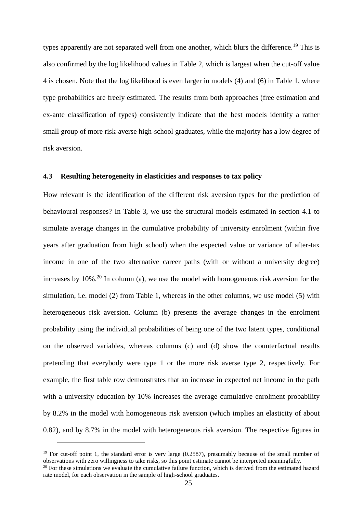types apparently are not separated well from one another, which blurs the difference.<sup>19</sup> This is also confirmed by the log likelihood values in Table 2, which is largest when the cut-off value 4 is chosen. Note that the log likelihood is even larger in models (4) and (6) in Table 1, where type probabilities are freely estimated. The results from both approaches (free estimation and ex-ante classification of types) consistently indicate that the best models identify a rather small group of more risk-averse high-school graduates, while the majority has a low degree of risk aversion.

#### **4.3 Resulting heterogeneity in elasticities and responses to tax policy**

How relevant is the identification of the different risk aversion types for the prediction of behavioural responses? In Table 3, we use the structural models estimated in section 4.1 to simulate average changes in the cumulative probability of university enrolment (within five years after graduation from high school) when the expected value or variance of after-tax income in one of the two alternative career paths (with or without a university degree) increases by  $10\%$ <sup>20</sup> In column (a), we use the model with homogeneous risk aversion for the simulation, i.e. model (2) from Table 1, whereas in the other columns, we use model (5) with heterogeneous risk aversion. Column (b) presents the average changes in the enrolment probability using the individual probabilities of being one of the two latent types, conditional on the observed variables, whereas columns (c) and (d) show the counterfactual results pretending that everybody were type 1 or the more risk averse type 2, respectively. For example, the first table row demonstrates that an increase in expected net income in the path with a university education by 10% increases the average cumulative enrolment probability by 8.2% in the model with homogeneous risk aversion (which implies an elasticity of about 0.82), and by 8.7% in the model with heterogeneous risk aversion. The respective figures in

<sup>&</sup>lt;sup>19</sup> For cut-off point 1, the standard error is very large (0.2587), presumably because of the small number of observations with zero willingness to take risks, so this point estimate cannot be interpreted meaningfully.  $20$  For these simulations we evaluate the cumulative failure function, which is derived from the estimated hazard

rate model, for each observation in the sample of high-school graduates.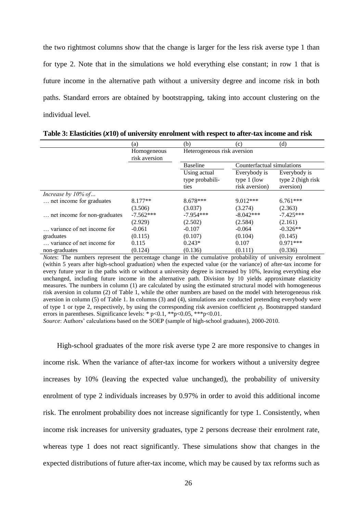the two rightmost columns show that the change is larger for the less risk averse type 1 than for type 2. Note that in the simulations we hold everything else constant; in row 1 that is future income in the alternative path without a university degree and income risk in both paths. Standard errors are obtained by bootstrapping, taking into account clustering on the individual level.

|                              | (a)                          | (b)                                           | (c)                                             | (d)                                            |  |
|------------------------------|------------------------------|-----------------------------------------------|-------------------------------------------------|------------------------------------------------|--|
|                              | Homogeneous<br>risk aversion | Heterogeneous risk aversion                   |                                                 |                                                |  |
|                              |                              | Counterfactual simulations<br><b>Baseline</b> |                                                 |                                                |  |
|                              |                              | Using actual<br>type probabili-<br>ties       | Everybody is<br>type $1$ (low<br>risk aversion) | Everybody is<br>type 2 (high risk<br>aversion) |  |
| Increase by $10\%$ of        |                              |                                               |                                                 |                                                |  |
| net income for graduates     | $8.177**$                    | $8.678***$                                    | $9.012***$                                      | $6.761***$                                     |  |
|                              | (3.506)                      | (3.037)                                       | (3.274)                                         | (2.363)                                        |  |
| net income for non-graduates | $-7.562***$                  | $-7.954***$                                   | $-8.042***$                                     | $-7.425***$                                    |  |
|                              | (2.929)                      | (2.502)                                       | (2.584)                                         | (2.161)                                        |  |
| variance of net income for   | $-0.061$                     | $-0.107$                                      | $-0.064$                                        | $-0.326**$                                     |  |
| graduates                    | (0.115)                      | (0.107)                                       | (0.104)                                         | (0.145)                                        |  |
| variance of net income for   | 0.115                        | $0.243*$                                      | 0.107                                           | $0.971***$                                     |  |
| non-graduates                | (0.124)                      | (0.136)                                       | (0.111)                                         | (0.336)                                        |  |

**Table 3: Elasticities (***x***10) of university enrolment with respect to after-tax income and risk**

*Notes*: The numbers represent the percentage change in the cumulative probability of university enrolment (within 5 years after high-school graduation) when the expected value (or the variance) of after-tax income for every future year in the paths with or without a university degree is increased by 10%, leaving everything else unchanged, including future income in the alternative path. Division by 10 yields approximate elasticity measures. The numbers in column (1) are calculated by using the estimated structural model with homogeneous risk aversion in column (2) of Table 1, while the other numbers are based on the model with heterogeneous risk aversion in column (5) of Table 1. In columns (3) and (4), simulations are conducted pretending everybody were of type 1 or type 2, respectively, by using the corresponding risk aversion coefficient  $\rho_i$ . Bootstrapped standard errors in parentheses. Significance levels: \*  $p<0.1$ , \*\* $p<0.05$ , \*\*\* $p<0.01$ .

*Source*: Authors' calculations based on the SOEP (sample of high-school graduates), 2000-2010.

High-school graduates of the more risk averse type 2 are more responsive to changes in income risk. When the variance of after-tax income for workers without a university degree increases by 10% (leaving the expected value unchanged), the probability of university enrolment of type 2 individuals increases by 0.97% in order to avoid this additional income risk. The enrolment probability does not increase significantly for type 1. Consistently, when income risk increases for university graduates, type 2 persons decrease their enrolment rate, whereas type 1 does not react significantly. These simulations show that changes in the expected distributions of future after-tax income, which may be caused by tax reforms such as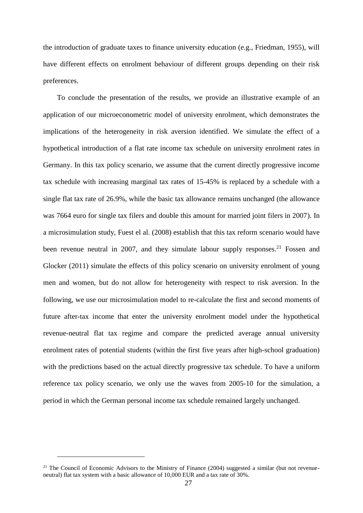the introduction of graduate taxes to finance university education (e.g., Friedman, 1955), will have different effects on enrolment behaviour of different groups depending on their risk preferences.

To conclude the presentation of the results, we provide an illustrative example of an application of our microeconometric model of university enrolment, which demonstrates the implications of the heterogeneity in risk aversion identified. We simulate the effect of a hypothetical introduction of a flat rate income tax schedule on university enrolment rates in Germany. In this tax policy scenario, we assume that the current directly progressive income tax schedule with increasing marginal tax rates of 15-45% is replaced by a schedule with a single flat tax rate of 26.9%, while the basic tax allowance remains unchanged (the allowance was 7664 euro for single tax filers and double this amount for married joint filers in 2007). In a microsimulation study, Fuest el al. (2008) establish that this tax reform scenario would have been revenue neutral in 2007, and they simulate labour supply responses.<sup>21</sup> Fossen and Glocker (2011) simulate the effects of this policy scenario on university enrolment of young men and women, but do not allow for heterogeneity with respect to risk aversion. In the following, we use our microsimulation model to re-calculate the first and second moments of future after-tax income that enter the university enrolment model under the hypothetical revenue-neutral flat tax regime and compare the predicted average annual university enrolment rates of potential students (within the first five years after high-school graduation) with the predictions based on the actual directly progressive tax schedule. To have a uniform reference tax policy scenario, we only use the waves from 2005-10 for the simulation, a period in which the German personal income tax schedule remained largely unchanged.

<sup>&</sup>lt;sup>21</sup> The Council of Economic Advisors to the Ministry of Finance (2004) suggested a similar (but not revenueneutral) flat tax system with a basic allowance of 10,000 EUR and a tax rate of 30%.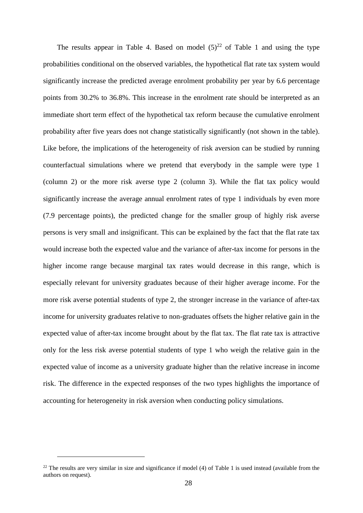The results appear in Table 4. Based on model  $(5)^{22}$  of Table 1 and using the type probabilities conditional on the observed variables, the hypothetical flat rate tax system would significantly increase the predicted average enrolment probability per year by 6.6 percentage points from 30.2% to 36.8%. This increase in the enrolment rate should be interpreted as an immediate short term effect of the hypothetical tax reform because the cumulative enrolment probability after five years does not change statistically significantly (not shown in the table). Like before, the implications of the heterogeneity of risk aversion can be studied by running counterfactual simulations where we pretend that everybody in the sample were type 1 (column 2) or the more risk averse type 2 (column 3). While the flat tax policy would significantly increase the average annual enrolment rates of type 1 individuals by even more (7.9 percentage points), the predicted change for the smaller group of highly risk averse persons is very small and insignificant. This can be explained by the fact that the flat rate tax would increase both the expected value and the variance of after-tax income for persons in the higher income range because marginal tax rates would decrease in this range, which is especially relevant for university graduates because of their higher average income. For the more risk averse potential students of type 2, the stronger increase in the variance of after-tax income for university graduates relative to non-graduates offsets the higher relative gain in the expected value of after-tax income brought about by the flat tax. The flat rate tax is attractive only for the less risk averse potential students of type 1 who weigh the relative gain in the expected value of income as a university graduate higher than the relative increase in income risk. The difference in the expected responses of the two types highlights the importance of accounting for heterogeneity in risk aversion when conducting policy simulations.

 $22$  The results are very similar in size and significance if model (4) of Table 1 is used instead (available from the authors on request).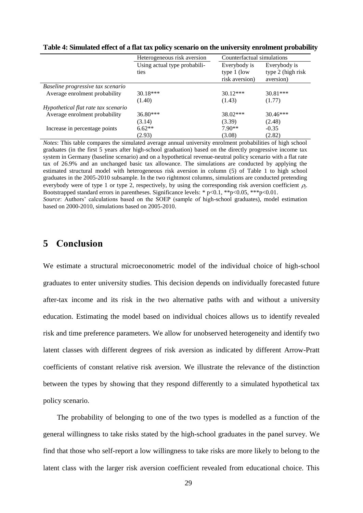|                                     | Heterogeneous risk aversion  | Counterfactual simulations      |                                |  |
|-------------------------------------|------------------------------|---------------------------------|--------------------------------|--|
|                                     | Using actual type probabili- | Everybody is                    | Everybody is                   |  |
|                                     | ties                         | type $1$ (low<br>risk aversion) | type 2 (high risk<br>aversion) |  |
| Baseline progressive tax scenario   |                              |                                 |                                |  |
| Average enrolment probability       | $30.18***$                   | $30.12***$                      | $30.81***$                     |  |
|                                     | (1.40)                       | (1.43)                          | (1.77)                         |  |
| Hypothetical flat rate tax scenario |                              |                                 |                                |  |
| Average enrolment probability       | 36.80***                     | $38.02***$                      | $30.46***$                     |  |
|                                     | (3.14)                       | (3.39)                          | (2.48)                         |  |
| Increase in percentage points       | $6.62**$                     | $7.90**$                        | $-0.35$                        |  |
|                                     | (2.93)                       | (3.08)                          | (2.82)                         |  |

**Table 4: Simulated effect of a flat tax policy scenario on the university enrolment probability**

*Notes*: This table compares the simulated average annual university enrolment probabilities of high school graduates (in the first 5 years after high-school graduation) based on the directly progressive income tax system in Germany (baseline scenario) and on a hypothetical revenue-neutral policy scenario with a flat rate tax of 26.9% and an unchanged basic tax allowance. The simulations are conducted by applying the estimated structural model with heterogeneous risk aversion in column (5) of Table 1 to high school graduates in the 2005-2010 subsample. In the two rightmost columns, simulations are conducted pretending everybody were of type 1 or type 2, respectively, by using the corresponding risk aversion coefficient *j*. Bootstrapped standard errors in parentheses. Significance levels: \*  $p < 0.1$ , \*\* $p < 0.05$ , \*\*\* $p < 0.01$ . *Source*: Authors' calculations based on the SOEP (sample of high-school graduates), model estimation based on 2000-2010, simulations based on 2005-2010.

## **5 Conclusion**

We estimate a structural microeconometric model of the individual choice of high-school graduates to enter university studies. This decision depends on individually forecasted future after-tax income and its risk in the two alternative paths with and without a university education. Estimating the model based on individual choices allows us to identify revealed risk and time preference parameters. We allow for unobserved heterogeneity and identify two latent classes with different degrees of risk aversion as indicated by different Arrow-Pratt coefficients of constant relative risk aversion. We illustrate the relevance of the distinction between the types by showing that they respond differently to a simulated hypothetical tax policy scenario.

The probability of belonging to one of the two types is modelled as a function of the general willingness to take risks stated by the high-school graduates in the panel survey. We find that those who self-report a low willingness to take risks are more likely to belong to the latent class with the larger risk aversion coefficient revealed from educational choice. This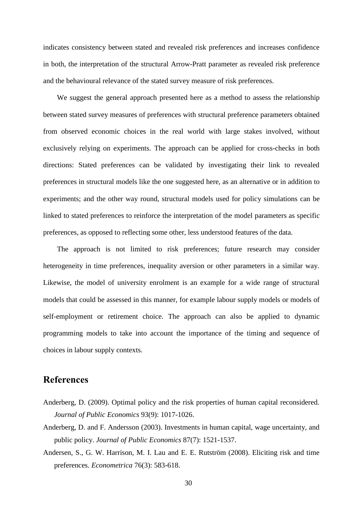indicates consistency between stated and revealed risk preferences and increases confidence in both, the interpretation of the structural Arrow-Pratt parameter as revealed risk preference and the behavioural relevance of the stated survey measure of risk preferences.

We suggest the general approach presented here as a method to assess the relationship between stated survey measures of preferences with structural preference parameters obtained from observed economic choices in the real world with large stakes involved, without exclusively relying on experiments. The approach can be applied for cross-checks in both directions: Stated preferences can be validated by investigating their link to revealed preferences in structural models like the one suggested here, as an alternative or in addition to experiments; and the other way round, structural models used for policy simulations can be linked to stated preferences to reinforce the interpretation of the model parameters as specific preferences, as opposed to reflecting some other, less understood features of the data.

The approach is not limited to risk preferences; future research may consider heterogeneity in time preferences, inequality aversion or other parameters in a similar way. Likewise, the model of university enrolment is an example for a wide range of structural models that could be assessed in this manner, for example labour supply models or models of self-employment or retirement choice. The approach can also be applied to dynamic programming models to take into account the importance of the timing and sequence of choices in labour supply contexts.

## **References**

- Anderberg, D. (2009). Optimal policy and the risk properties of human capital reconsidered. *Journal of Public Economics* 93(9): 1017-1026.
- Anderberg, D. and F. Andersson (2003). Investments in human capital, wage uncertainty, and public policy. *Journal of Public Economics* 87(7): 1521-1537.
- Andersen, S., G. W. Harrison, M. I. Lau and E. E. Rutström (2008). Eliciting risk and time preferences. *Econometrica* 76(3): 583-618.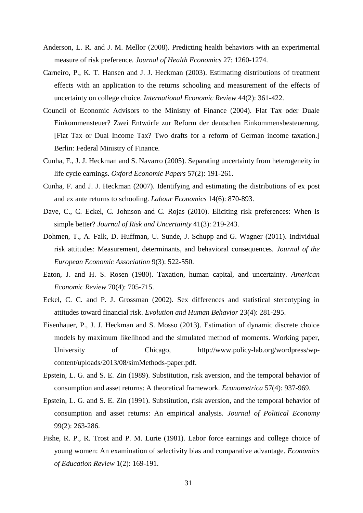- Anderson, L. R. and J. M. Mellor (2008). Predicting health behaviors with an experimental measure of risk preference. *Journal of Health Economics* 27: 1260-1274.
- Carneiro, P., K. T. Hansen and J. J. Heckman (2003). Estimating distributions of treatment effects with an application to the returns schooling and measurement of the effects of uncertainty on college choice. *International Economic Review* 44(2): 361-422.
- Council of Economic Advisors to the Ministry of Finance (2004). Flat Tax oder Duale Einkommensteuer? Zwei Entwürfe zur Reform der deutschen Einkommensbesteuerung. [Flat Tax or Dual Income Tax? Two drafts for a reform of German income taxation.] Berlin: Federal Ministry of Finance.
- Cunha, F., J. J. Heckman and S. Navarro (2005). Separating uncertainty from heterogeneity in life cycle earnings. *Oxford Economic Papers* 57(2): 191-261.
- Cunha, F. and J. J. Heckman (2007). Identifying and estimating the distributions of ex post and ex ante returns to schooling. *Labour Economics* 14(6): 870-893.
- Dave, C., C. Eckel, C. Johnson and C. Rojas (2010). Eliciting risk preferences: When is simple better? *Journal of Risk and Uncertainty* 41(3): 219-243.
- Dohmen, T., A. Falk, D. Huffman, U. Sunde, J. Schupp and G. Wagner (2011). Individual risk attitudes: Measurement, determinants, and behavioral consequences. *Journal of the European Economic Association* 9(3): 522-550.
- Eaton, J. and H. S. Rosen (1980). Taxation, human capital, and uncertainty. *American Economic Review* 70(4): 705-715.
- Eckel, C. C. and P. J. Grossman (2002). Sex differences and statistical stereotyping in attitudes toward financial risk. *Evolution and Human Behavior* 23(4): 281-295.
- Eisenhauer, P., J. J. Heckman and S. Mosso (2013). Estimation of dynamic discrete choice models by maximum likelihood and the simulated method of moments. Working paper, University of Chicago, [http://www.policy-lab.org/wordpress/wp](http://www.policy-lab.org/wordpress/wp-content/uploads/2013/08/simMethods-paper.pdf)[content/uploads/2013/08/simMethods-paper.pdf.](http://www.policy-lab.org/wordpress/wp-content/uploads/2013/08/simMethods-paper.pdf)
- Epstein, L. G. and S. E. Zin (1989). Substitution, risk aversion, and the temporal behavior of consumption and asset returns: A theoretical framework. *Econometrica* 57(4): 937-969.
- Epstein, L. G. and S. E. Zin (1991). Substitution, risk aversion, and the temporal behavior of consumption and asset returns: An empirical analysis. *Journal of Political Economy* 99(2): 263-286.
- Fishe, R. P., R. Trost and P. M. Lurie (1981). Labor force earnings and college choice of young women: An examination of selectivity bias and comparative advantage. *Economics of Education Review* 1(2): 169-191.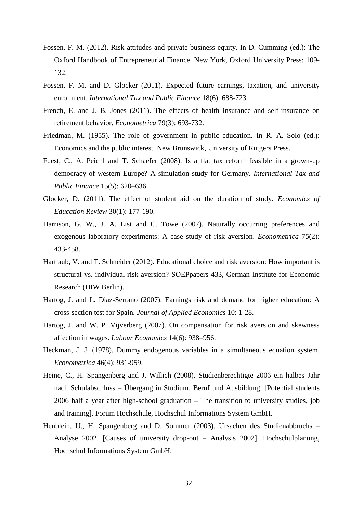- Fossen, F. M. (2012). Risk attitudes and private business equity. In D. Cumming (ed.): The Oxford Handbook of Entrepreneurial Finance. New York, Oxford University Press: 109- 132.
- Fossen, F. M. and D. Glocker (2011). Expected future earnings, taxation, and university enrollment. *International Tax and Public Finance* 18(6): 688-723.
- French, E. and J. B. Jones (2011). The effects of health insurance and self-insurance on retirement behavior. *Econometrica* 79(3): 693-732.
- Friedman, M. (1955). The role of government in public education. In R. A. Solo (ed.): Economics and the public interest. New Brunswick, University of Rutgers Press.
- Fuest, C., A. Peichl and T. Schaefer (2008). Is a flat tax reform feasible in a grown-up democracy of western Europe? A simulation study for Germany. *International Tax and Public Finance* 15(5): 620–636.
- Glocker, D. (2011). The effect of student aid on the duration of study. *Economics of Education Review* 30(1): 177-190.
- Harrison, G. W., J. A. List and C. Towe (2007). Naturally occurring preferences and exogenous laboratory experiments: A case study of risk aversion. *Econometrica* 75(2): 433-458.
- Hartlaub, V. and T. Schneider (2012). Educational choice and risk aversion: How important is structural vs. individual risk aversion? SOEPpapers 433, German Institute for Economic Research (DIW Berlin).
- Hartog, J. and L. Diaz-Serrano (2007). Earnings risk and demand for higher education: A cross-section test for Spain*. Journal of Applied Economics* 10: 1-28.
- Hartog, J. and W. P. Vijverberg (2007). On compensation for risk aversion and skewness affection in wages. *Labour Economics* 14(6): 938–956.
- Heckman, J. J. (1978). Dummy endogenous variables in a simultaneous equation system. *Econometrica* 46(4): 931-959.
- Heine, C., H. Spangenberg and J. Willich (2008). Studienberechtigte 2006 ein halbes Jahr nach Schulabschluss – Übergang in Studium, Beruf und Ausbildung. [Potential students 2006 half a year after high-school graduation – The transition to university studies, job and training]. Forum Hochschule, Hochschul Informations System GmbH.
- Heublein, U., H. Spangenberg and D. Sommer (2003). Ursachen des Studienabbruchs Analyse 2002. [Causes of university drop-out – Analysis 2002]. Hochschulplanung, Hochschul Informations System GmbH.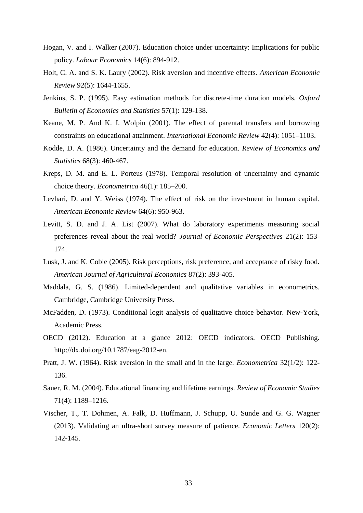- Hogan, V. and I. Walker (2007). Education choice under uncertainty: Implications for public policy. *Labour Economics* 14(6): 894-912.
- Holt, C. A. and S. K. Laury (2002). Risk aversion and incentive effects. *American Economic Review* 92(5): 1644-1655.
- Jenkins, S. P. (1995). Easy estimation methods for discrete-time duration models. *Oxford Bulletin of Economics and Statistics* 57(1): 129-138.
- Keane, M. P. And K. I. Wolpin (2001). The effect of parental transfers and borrowing constraints on educational attainment. *International Economic Review* 42(4): 1051–1103.
- Kodde, D. A. (1986). Uncertainty and the demand for education. *Review of Economics and Statistics* 68(3): 460-467.
- Kreps, D. M. and E. L. Porteus (1978). Temporal resolution of uncertainty and dynamic choice theory. *Econometrica* 46(1): 185–200.
- Levhari, D. and Y. Weiss (1974). The effect of risk on the investment in human capital. *American Economic Review* 64(6): 950-963.
- Levitt, S. D. and J. A. List (2007). What do laboratory experiments measuring social preferences reveal about the real world? *Journal of Economic Perspectives* 21(2): 153- 174.
- Lusk, J. and K. Coble (2005). Risk perceptions, risk preference, and acceptance of risky food. *American Journal of Agricultural Economics* 87(2): 393-405.
- Maddala, G. S. (1986). Limited-dependent and qualitative variables in econometrics. Cambridge, Cambridge University Press.
- McFadden, D. (1973). Conditional logit analysis of qualitative choice behavior. New-York, Academic Press.
- OECD (2012). Education at a glance 2012: OECD indicators. OECD Publishing. [http://dx.doi.org/10.1787/eag-2012-en.](http://dx.doi.org/10.1787/eag-2012-en)
- Pratt, J. W. (1964). Risk aversion in the small and in the large. *Econometrica* 32(1/2): 122- 136.
- Sauer, R. M. (2004). Educational financing and lifetime earnings. *Review of Economic Studies* 71(4): 1189–1216.
- Vischer, T., T. Dohmen, A. Falk, D. Huffmann, J. Schupp, U. Sunde and G. G. Wagner (2013). Validating an ultra-short survey measure of patience. *Economic Letters* 120(2): 142-145.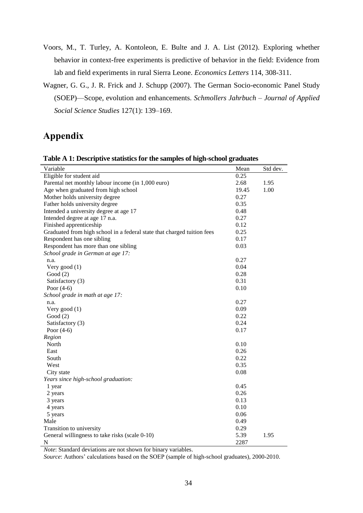- Voors, M., T. Turley, A. Kontoleon, E. Bulte and J. A. List (2012). Exploring whether behavior in context-free experiments is predictive of behavior in the field: Evidence from lab and field experiments in rural Sierra Leone. *Economics Letters* 114, 308-311.
- Wagner, G. G., J. R. Frick and J. Schupp (2007). The German Socio-economic Panel Study (SOEP)—Scope, evolution and enhancements. *Schmollers Jahrbuch – Journal of Applied Social Science Studies* 127(1): 139–169.

# **Appendix**

| Variable                                                                | Mean  | Std dev. |
|-------------------------------------------------------------------------|-------|----------|
| Eligible for student aid                                                | 0.25  |          |
| Parental net monthly labour income (in 1,000 euro)                      | 2.68  | 1.95     |
| Age when graduated from high school                                     | 19.45 | 1.00     |
| Mother holds university degree                                          | 0.27  |          |
| Father holds university degree                                          | 0.35  |          |
| Intended a university degree at age 17                                  | 0.48  |          |
| Intended degree at age 17 n.a.                                          | 0.27  |          |
| Finished apprenticeship                                                 | 0.12  |          |
| Graduated from high school in a federal state that charged tuition fees | 0.25  |          |
| Respondent has one sibling                                              | 0.17  |          |
| Respondent has more than one sibling                                    | 0.03  |          |
| School grade in German at age 17:                                       |       |          |
| n.a.                                                                    | 0.27  |          |
| Very good $(1)$                                                         | 0.04  |          |
| Good $(2)$                                                              | 0.28  |          |
| Satisfactory (3)                                                        | 0.31  |          |
| Poor $(4-6)$                                                            | 0.10  |          |
| School grade in math at age 17:                                         |       |          |
| n.a.                                                                    | 0.27  |          |
| Very good $(1)$                                                         | 0.09  |          |
| Good $(2)$                                                              | 0.22  |          |
| Satisfactory (3)                                                        | 0.24  |          |
| Poor $(4-6)$                                                            | 0.17  |          |
| Region                                                                  |       |          |
| North                                                                   | 0.10  |          |
| East                                                                    | 0.26  |          |
| South                                                                   | 0.22  |          |
| West                                                                    | 0.35  |          |
| City state                                                              | 0.08  |          |
| Years since high-school graduation:                                     |       |          |
| 1 year                                                                  | 0.45  |          |
| 2 years                                                                 | 0.26  |          |
| 3 years                                                                 | 0.13  |          |
| 4 years                                                                 | 0.10  |          |
| 5 years                                                                 | 0.06  |          |
| Male                                                                    | 0.49  |          |
| Transition to university                                                | 0.29  |          |
| General willingness to take risks (scale 0-10)                          | 5.39  | 1.95     |
| N                                                                       | 2287  |          |

**Table A 1: Descriptive statistics for the samples of high-school graduates**

*Note*: Standard deviations are not shown for binary variables.

*Source*: Authors' calculations based on the SOEP (sample of high-school graduates), 2000-2010.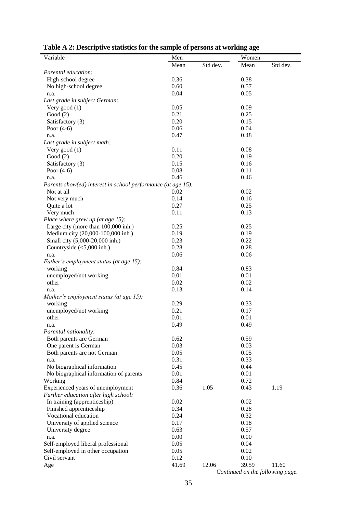| Variable                                                             | Men          |          | Women        |          |
|----------------------------------------------------------------------|--------------|----------|--------------|----------|
|                                                                      | Mean         | Std dev. | Mean         | Std dev. |
| Parental education:                                                  |              |          |              |          |
| High-school degree                                                   | 0.36         |          | 0.38         |          |
| No high-school degree                                                | 0.60         |          | 0.57         |          |
| n.a.                                                                 | 0.04         |          | 0.05         |          |
| Last grade in subject German:                                        |              |          |              |          |
| Very good $(1)$                                                      | 0.05         |          | 0.09         |          |
| Good $(2)$                                                           | 0.21         |          | 0.25         |          |
| Satisfactory (3)                                                     | 0.20         |          | 0.15         |          |
| Poor $(4-6)$                                                         | 0.06         |          | 0.04         |          |
| n.a.                                                                 | 0.47         |          | 0.48         |          |
| Last grade in subject math:                                          |              |          |              |          |
| Very good $(1)$                                                      | 0.11<br>0.20 |          | 0.08<br>0.19 |          |
| Good $(2)$                                                           | 0.15         |          |              |          |
| Satisfactory (3)                                                     | 0.08         |          | 0.16         |          |
| Poor $(4-6)$                                                         | 0.46         |          | 0.11<br>0.46 |          |
| n.a.<br>Parents show(ed) interest in school performance (at age 15): |              |          |              |          |
| Not at all                                                           | 0.02         |          | 0.02         |          |
| Not very much                                                        | 0.14         |          | 0.16         |          |
| Quite a lot                                                          | 0.27         |          | 0.25         |          |
| Very much                                                            | 0.11         |          | 0.13         |          |
| Place where grew up (at age 15):                                     |              |          |              |          |
| Large city (more than 100,000 inh.)                                  | 0.25         |          | 0.25         |          |
| Medium city (20,000-100,000 inh.)                                    | 0.19         |          | 0.19         |          |
| Small city (5,000-20,000 inh.)                                       | 0.23         |          | 0.22         |          |
| Countryside $(<5,000$ inh.)                                          | 0.28         |          | 0.28         |          |
| n.a.                                                                 | 0.06         |          | 0.06         |          |
| Father's employment status (at age 15):                              |              |          |              |          |
| working                                                              | 0.84         |          | 0.83         |          |
| unemployed/not working                                               | 0.01         |          | 0.01         |          |
| other                                                                | 0.02         |          | 0.02         |          |
| n.a.                                                                 | 0.13         |          | 0.14         |          |
| Mother's employment status (at age 15):                              |              |          |              |          |
| working                                                              | 0.29         |          | 0.33         |          |
| unemployed/not working                                               | 0.21         |          | 0.17         |          |
| other                                                                | 0.01         |          | 0.01         |          |
| n.a.                                                                 | 0.49         |          | 0.49         |          |
| Parental nationality:                                                |              |          |              |          |
| Both parents are German                                              | 0.62         |          | 0.59         |          |
| One parent is German                                                 | 0.03         |          | 0.03         |          |
| Both parents are not German                                          | 0.05         |          | 0.05         |          |
| n.a.                                                                 | 0.31         |          | 0.33         |          |
| No biographical information                                          | 0.45         |          | 0.44         |          |
| No biographical information of parents                               | 0.01         |          | 0.01         |          |
| Working                                                              | 0.84         |          | 0.72         |          |
| Experienced years of unemployment                                    | 0.36         | 1.05     | 0.43         | 1.19     |
| Further education after high school:                                 |              |          |              |          |
| In training (apprenticeship)                                         | 0.02         |          | 0.02         |          |
| Finished apprenticeship                                              | 0.34         |          | 0.28         |          |
| Vocational education                                                 | 0.24         |          | 0.32         |          |
| University of applied science                                        | 0.17         |          | 0.18         |          |
| University degree                                                    | 0.63<br>0.00 |          | 0.57<br>0.00 |          |
| n.a.<br>Self-employed liberal professional                           | 0.05         |          | 0.04         |          |
| Self-employed in other occupation                                    | 0.05         |          | 0.02         |          |
| Civil servant                                                        | 0.12         |          | 0.10         |          |
| Age                                                                  | 41.69        | 12.06    | 39.59        | 11.60    |
|                                                                      |              |          |              |          |

|  | Table A 2: Descriptive statistics for the sample of persons at working age |
|--|----------------------------------------------------------------------------|
|  |                                                                            |

*Continued on the following page.*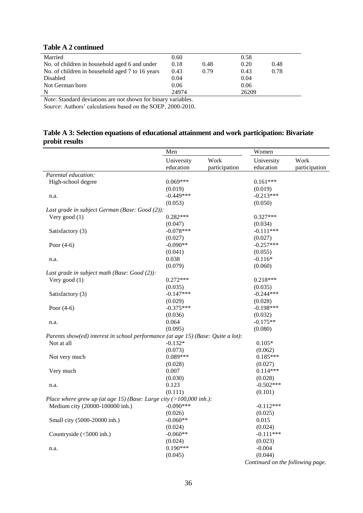### **Table A 2 continued**

| Married                                         | 0.60  |      | 0.58  |      |
|-------------------------------------------------|-------|------|-------|------|
| No. of children in household aged 6 and under   | 0.18  | 0.48 | 0.20  | 0.48 |
| No. of children in household aged 7 to 16 years | 0.43  | 0.79 | 0.43  | 0.78 |
| Disabled                                        | 0.04  |      | 0.04  |      |
| Not German born                                 | 0.06  |      | 0.06  |      |
| N                                               | 24974 |      | 26209 |      |
|                                                 |       |      |       |      |

*Note*: Standard deviations are not shown for binary variables.

*Source*: Authors' calculations based on the SOEP, 2000-2010.

## **Table A 3: Selection equations of educational attainment and work participation: Bivariate probit results**

|                                                                                  | Men         |               | Women                            |               |
|----------------------------------------------------------------------------------|-------------|---------------|----------------------------------|---------------|
|                                                                                  | University  | Work          | University                       | Work          |
|                                                                                  | education   | participation | education                        | participation |
| Parental education:                                                              |             |               |                                  |               |
| High-school degree                                                               | $0.069***$  |               | $0.161***$                       |               |
|                                                                                  | (0.019)     |               | (0.019)                          |               |
| n.a.                                                                             | $-0.449***$ |               | $-0.213***$                      |               |
|                                                                                  | (0.053)     |               | (0.050)                          |               |
| Last grade in subject German (Base: Good (2)):                                   |             |               |                                  |               |
| Very good $(1)$                                                                  | $0.282***$  |               | $0.327***$                       |               |
|                                                                                  | (0.047)     |               | (0.034)                          |               |
| Satisfactory (3)                                                                 | $-0.078***$ |               | $-0.111***$                      |               |
|                                                                                  | (0.027)     |               | (0.027)                          |               |
| Poor $(4-6)$                                                                     | $-0.090**$  |               | $-0.257***$                      |               |
|                                                                                  | (0.041)     |               | (0.055)                          |               |
| n.a.                                                                             | 0.038       |               | $-0.116*$                        |               |
|                                                                                  | (0.079)     |               | (0.060)                          |               |
| Last grade in subject math (Base: Good (2)):                                     |             |               |                                  |               |
| Very good $(1)$                                                                  | $0.272***$  |               | $0.218***$                       |               |
|                                                                                  | (0.035)     |               | (0.035)                          |               |
| Satisfactory (3)                                                                 | $-0.147***$ |               | $-0.244***$                      |               |
|                                                                                  | (0.029)     |               | (0.028)                          |               |
| Poor $(4-6)$                                                                     | $-0.375***$ |               | $-0.198***$                      |               |
|                                                                                  | (0.036)     |               | (0.032)                          |               |
| n.a.                                                                             | 0.064       |               | $-0.175**$                       |               |
|                                                                                  | (0.095)     |               | (0.080)                          |               |
| Parents show(ed) interest in school performance (at age 15) (Base: Quite a lot): |             |               |                                  |               |
| Not at all                                                                       | $-0.132*$   |               | $0.105*$                         |               |
|                                                                                  | (0.073)     |               | (0.062)                          |               |
| Not very much                                                                    | $0.089***$  |               | $0.185***$                       |               |
|                                                                                  | (0.028)     |               | (0.027)                          |               |
| Very much                                                                        | 0.007       |               | $0.114***$                       |               |
|                                                                                  | (0.030)     |               | (0.028)                          |               |
| n.a.                                                                             | 0.123       |               | $-0.502***$                      |               |
|                                                                                  | (0.111)     |               | (0.101)                          |               |
| Place where grew up (at age 15) (Base: Large city $(>100,000$ inh.):             |             |               |                                  |               |
| Medium city (20000-100000 inh.)                                                  | $-0.090***$ |               | $-0.112***$                      |               |
|                                                                                  | (0.026)     |               | (0.025)                          |               |
| Small city (5000-20000 inh.)                                                     | $-0.060**$  |               | 0.015                            |               |
|                                                                                  | (0.024)     |               | (0.024)                          |               |
| Countryside (<5000 inh.)                                                         | $-0.060**$  |               | $-0.111***$                      |               |
|                                                                                  | (0.024)     |               | (0.023)                          |               |
| n.a.                                                                             | $0.190***$  |               | $-0.004$                         |               |
|                                                                                  | (0.045)     |               | (0.044)                          |               |
|                                                                                  |             |               | Continued on the following page. |               |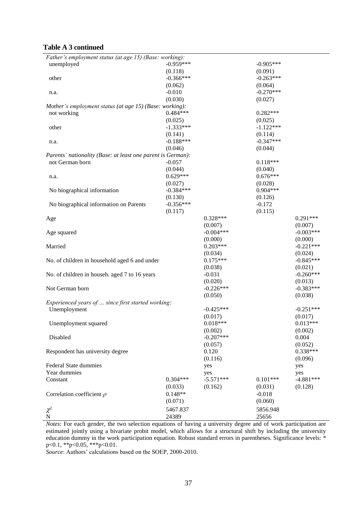### **Table A 3 continued**

| Father's employment status (at age 15) (Base: working):     |             |             |             |             |
|-------------------------------------------------------------|-------------|-------------|-------------|-------------|
| unemployed                                                  | $-0.959***$ |             | $-0.905***$ |             |
|                                                             | (0.118)     |             | (0.091)     |             |
| other                                                       | $-0.366***$ |             | $-0.263***$ |             |
|                                                             | (0.062)     |             | (0.064)     |             |
| n.a.                                                        | $-0.010$    |             | $-0.270***$ |             |
|                                                             | (0.030)     |             | (0.027)     |             |
| Mother's employment status (at age 15) (Base: working):     |             |             |             |             |
| not working                                                 | $0.484***$  |             | $0.282***$  |             |
|                                                             | (0.025)     |             | (0.025)     |             |
| other                                                       | $-1.333***$ |             | $-1.122***$ |             |
|                                                             | (0.141)     |             | (0.114)     |             |
| n.a.                                                        | $-0.188***$ |             | $-0.347***$ |             |
|                                                             | (0.046)     |             | (0.044)     |             |
| Parents' nationality (Base: at least one parent is German): |             |             |             |             |
| not German born                                             | $-0.057$    |             | $0.118***$  |             |
|                                                             | (0.044)     |             | (0.040)     |             |
| n.a.                                                        | $0.629***$  |             | $0.676***$  |             |
|                                                             | (0.027)     |             | (0.028)     |             |
| No biographical information                                 | $-0.384***$ |             | $0.904***$  |             |
|                                                             | (0.130)     |             | (0.126)     |             |
| No biographical information on Parents                      | $-0.356***$ |             | $-0.172$    |             |
|                                                             | (0.117)     |             | (0.115)     |             |
| Age                                                         |             | $0.328***$  |             | $0.291***$  |
|                                                             |             | (0.007)     |             | (0.007)     |
| Age squared                                                 |             | $-0.004***$ |             | $-0.003***$ |
|                                                             |             | (0.000)     |             | (0.000)     |
| Married                                                     |             | $0.203***$  |             | $-0.221***$ |
|                                                             |             | (0.034)     |             | (0.024)     |
| No. of children in household aged 6 and under               |             | $0.175***$  |             | $-0.845***$ |
|                                                             |             | (0.038)     |             | (0.021)     |
| No. of children in househ. aged 7 to 16 years               |             | $-0.031$    |             | $-0.260***$ |
|                                                             |             | (0.020)     |             | (0.013)     |
| Not German born                                             |             | $-0.226***$ |             | $-0.383***$ |
|                                                             |             | (0.050)     |             | (0.038)     |
| Experienced years of  since first started working:          |             |             |             |             |
| Unemployment                                                |             | $-0.425***$ |             | $-0.251***$ |
|                                                             |             | (0.017)     |             | (0.017)     |
| Unemployment squared                                        |             | $0.018***$  |             | $0.013***$  |
|                                                             |             | (0.002)     |             | (0.002)     |
| Disabled                                                    |             | $-0.207***$ |             | 0.004       |
|                                                             |             | (0.057)     |             | (0.052)     |
| Respondent has university degree                            |             | 0.120       |             | $0.338***$  |
|                                                             |             | (0.116)     |             | (0.096)     |
| <b>Federal State dummies</b>                                |             | yes         |             | yes         |
| Year dummies                                                |             | yes         |             | yes         |
| Constant                                                    | $0.304***$  | $-5.571***$ | $0.101***$  | $-4.881***$ |
|                                                             | (0.033)     | (0.162)     | (0.031)     | (0.128)     |
| Correlation coefficient $\rho$                              | $0.148**$   |             | $-0.018$    |             |
|                                                             | (0.071)     |             | (0.060)     |             |
| $\chi^2$                                                    | 5467.837    |             | 5856.948    |             |
| $\mathbf N$                                                 | 24389       |             | 25656       |             |
|                                                             |             |             |             |             |

*Notes*: For each gender, the two selection equations of having a university degree and of work participation are estimated jointly using a bivariate probit model, which allows for a structural shift by including the university education dummy in the work participation equation. Robust standard errors in parentheses. Significance levels: \* p<0.1, \*\*p<0.05, \*\*\*p<0.01.

*Source*: Authors' calculations based on the SOEP, 2000-2010.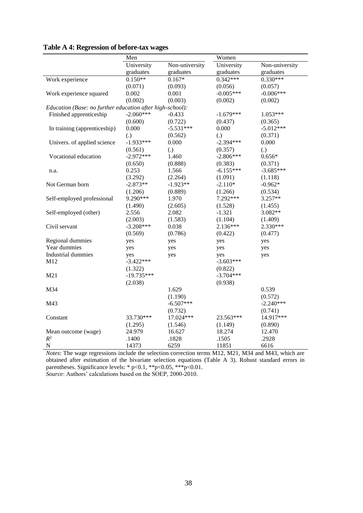|                                                           | Men          |                | Women       |                |  |
|-----------------------------------------------------------|--------------|----------------|-------------|----------------|--|
|                                                           | University   | Non-university | University  | Non-university |  |
|                                                           | graduates    | graduates      | graduates   | graduates      |  |
| Work experience                                           | $0.150**$    | $0.167*$       | $0.342***$  | $0.330***$     |  |
|                                                           | (0.071)      | (0.093)        | (0.056)     | (0.057)        |  |
| Work experience squared                                   | 0.002        | 0.001          | $-0.005***$ | $-0.006***$    |  |
|                                                           | (0.002)      | (0.003)        | (0.002)     | (0.002)        |  |
| Education (Base: no further education after high-school): |              |                |             |                |  |
| Finished apprenticeship                                   | $-2.060***$  | $-0.433$       | $-1.679***$ | $1.053***$     |  |
|                                                           | (0.600)      | (0.722)        | (0.437)     | (0.365)        |  |
| In training (apprenticeship)                              | 0.000        | $-5.531***$    | 0.000       | $-5.012***$    |  |
|                                                           | (.)          | (0.562)        | (.)         | (0.371)        |  |
| Univers. of applied science                               | $-1.933***$  | 0.000          | $-2.394***$ | 0.000          |  |
|                                                           | (0.561)      | (.)            | (0.357)     | (.)            |  |
| Vocational education                                      | $-2.972***$  | 1.460          | $-2.806***$ | $0.656*$       |  |
|                                                           | (0.650)      | (0.888)        | (0.383)     | (0.371)        |  |
| n.a.                                                      | 0.253        | 1.566          | $-6.155***$ | $-3.685***$    |  |
|                                                           | (3.292)      | (2.264)        | (1.091)     | (1.118)        |  |
| Not German born                                           | $-2.873**$   | $-1.923**$     | $-2.110*$   | $-0.962*$      |  |
|                                                           | (1.206)      | (0.889)        | (1.266)     | (0.534)        |  |
| Self-employed professional                                | 9.290***     | 1.970          | 7.292***    | 3.257**        |  |
|                                                           | (1.490)      | (2.605)        | (1.528)     | (1.455)        |  |
| Self-employed (other)                                     | 2.556        | 2.082          | $-1.321$    | 3.082**        |  |
|                                                           | (2.003)      | (1.583)        | (1.104)     | (1.409)        |  |
| Civil servant                                             | $-3.208***$  | 0.038          | 2.136***    | 2.330***       |  |
|                                                           | (0.569)      | (0.786)        | (0.422)     | (0.477)        |  |
| Regional dummies                                          | yes          | yes            | yes         | yes            |  |
| Year dummies                                              | yes          | yes            | yes         | yes            |  |
| <b>Industrial dummies</b>                                 | yes          | yes            | yes         | yes            |  |
| M12                                                       | $-3.422***$  |                | $-3.603***$ |                |  |
|                                                           | (1.322)      |                | (0.822)     |                |  |
| M21                                                       | $-19.735***$ |                | $-3.704***$ |                |  |
|                                                           | (2.038)      |                | (0.938)     |                |  |
| M34                                                       |              | 1.629          |             | 0.539          |  |
|                                                           |              | (1.190)        |             | (0.572)        |  |
| M43                                                       |              | $-6.507***$    |             | $-2.240***$    |  |
|                                                           |              | (0.732)        |             | (0.741)        |  |
| Constant                                                  | 33.730***    | 17.024***      | 23.563***   | 14.917***      |  |
|                                                           | (1.295)      | (1.546)        | (1.149)     | (0.890)        |  |
| Mean outcome (wage)                                       | 24.979       | 16.627         | 18.274      | 12.470         |  |
| $\mathbb{R}^2$                                            | .1400        | .1828          | .1505       | .2928          |  |
| $\mathbf N$                                               | 14373        | 6259           | 11851       | 6616           |  |

## **Table A 4: Regression of before-tax wages**

*Notes*: The wage regressions include the selection correction terms M12, M21, M34 and M43, which are obtained after estimation of the bivariate selection equations (Table A 3). Robust standard errors in parentheses. Significance levels: \* p<0.1, \*\*p<0.05, \*\*\*p<0.01. *Source*: Authors' calculations based on the SOEP, 2000-2010.